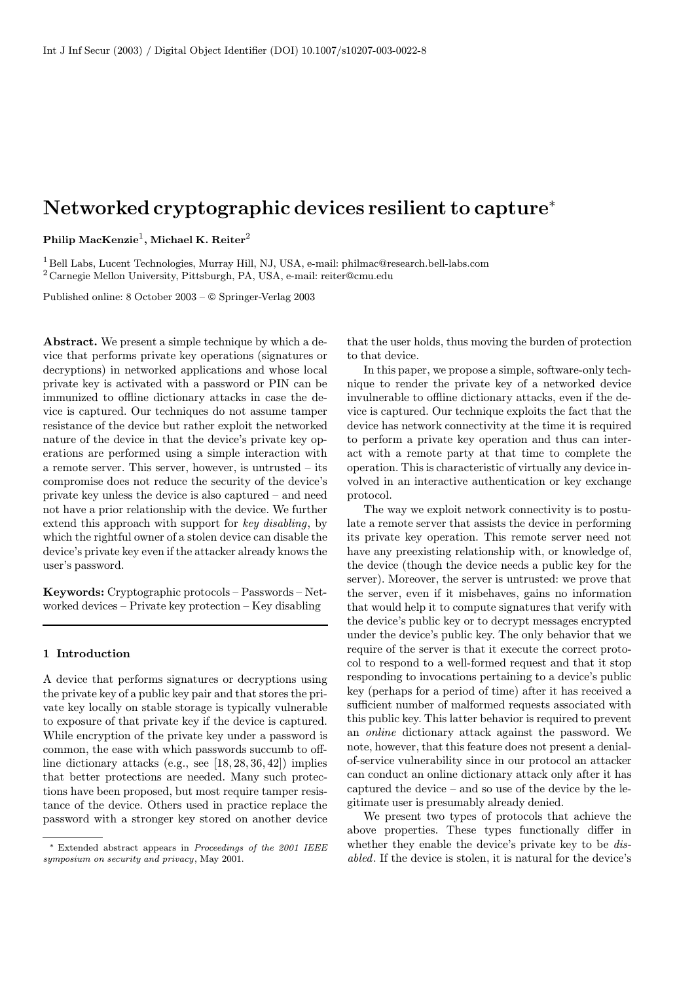# Networked cryptographic devices resilient to capture<sup>∗</sup>

Philip MacKenzie<sup>1</sup>, Michael K. Reiter<sup>2</sup>

<sup>1</sup> Bell Labs, Lucent Technologies, Murray Hill, NJ, USA, e-mail: philmac@research.bell-labs.com <sup>2</sup> Carnegie Mellon University, Pittsburgh, PA, USA, e-mail: reiter@cmu.edu

Published online: 8 October 2003 – © Springer-Verlag 2003

Abstract. We present a simple technique by which a device that performs private key operations (signatures or decryptions) in networked applications and whose local private key is activated with a password or PIN can be immunized to offline dictionary attacks in case the device is captured. Our techniques do not assume tamper resistance of the device but rather exploit the networked nature of the device in that the device's private key operations are performed using a simple interaction with a remote server. This server, however, is untrusted – its compromise does not reduce the security of the device's private key unless the device is also captured – and need not have a prior relationship with the device. We further extend this approach with support for key disabling, by which the rightful owner of a stolen device can disable the device's private key even if the attacker already knows the user's password.

Keywords: Cryptographic protocols – Passwords – Networked devices – Private key protection – Key disabling

## 1 Introduction

A device that performs signatures or decryptions using the private key of a public key pair and that stores the private key locally on stable storage is typically vulnerable to exposure of that private key if the device is captured. While encryption of the private key under a password is common, the ease with which passwords succumb to offline dictionary attacks (e.g., see [18, 28, 36, 42]) implies that better protections are needed. Many such protections have been proposed, but most require tamper resistance of the device. Others used in practice replace the password with a stronger key stored on another device that the user holds, thus moving the burden of protection to that device.

In this paper, we propose a simple, software-only technique to render the private key of a networked device invulnerable to offline dictionary attacks, even if the device is captured. Our technique exploits the fact that the device has network connectivity at the time it is required to perform a private key operation and thus can interact with a remote party at that time to complete the operation. This is characteristic of virtually any device involved in an interactive authentication or key exchange protocol.

The way we exploit network connectivity is to postulate a remote server that assists the device in performing its private key operation. This remote server need not have any preexisting relationship with, or knowledge of, the device (though the device needs a public key for the server). Moreover, the server is untrusted: we prove that the server, even if it misbehaves, gains no information that would help it to compute signatures that verify with the device's public key or to decrypt messages encrypted under the device's public key. The only behavior that we require of the server is that it execute the correct protocol to respond to a well-formed request and that it stop responding to invocations pertaining to a device's public key (perhaps for a period of time) after it has received a sufficient number of malformed requests associated with this public key. This latter behavior is required to prevent an online dictionary attack against the password. We note, however, that this feature does not present a denialof-service vulnerability since in our protocol an attacker can conduct an online dictionary attack only after it has captured the device – and so use of the device by the legitimate user is presumably already denied.

We present two types of protocols that achieve the above properties. These types functionally differ in whether they enable the device's private key to be *dis*abled. If the device is stolen, it is natural for the device's

<sup>∗</sup> Extended abstract appears in Proceedings of the 2001 IEEE symposium on security and privacy, May 2001.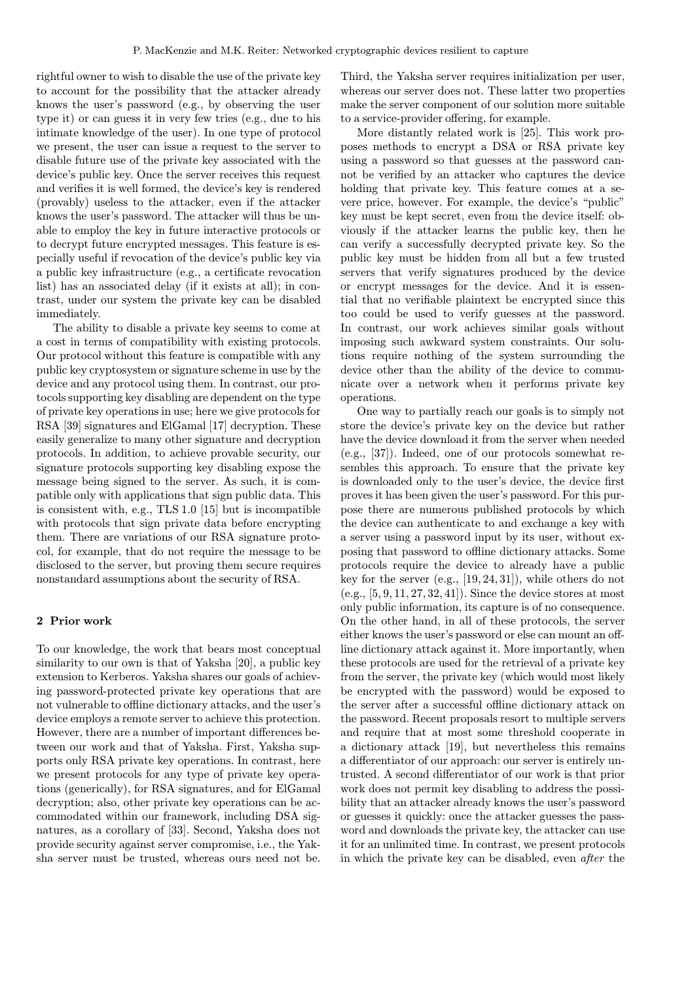rightful owner to wish to disable the use of the private key to account for the possibility that the attacker already knows the user's password (e.g., by observing the user type it) or can guess it in very few tries (e.g., due to his intimate knowledge of the user). In one type of protocol we present, the user can issue a request to the server to disable future use of the private key associated with the device's public key. Once the server receives this request and verifies it is well formed, the device's key is rendered (provably) useless to the attacker, even if the attacker knows the user's password. The attacker will thus be unable to employ the key in future interactive protocols or to decrypt future encrypted messages. This feature is especially useful if revocation of the device's public key via a public key infrastructure (e.g., a certificate revocation list) has an associated delay (if it exists at all); in contrast, under our system the private key can be disabled immediately.

The ability to disable a private key seems to come at a cost in terms of compatibility with existing protocols. Our protocol without this feature is compatible with any public key cryptosystem or signature scheme in use by the device and any protocol using them. In contrast, our protocols supporting key disabling are dependent on the type of private key operations in use; here we give protocols for RSA [39] signatures and ElGamal [17] decryption. These easily generalize to many other signature and decryption protocols. In addition, to achieve provable security, our signature protocols supporting key disabling expose the message being signed to the server. As such, it is compatible only with applications that sign public data. This is consistent with, e.g., TLS 1.0 [15] but is incompatible with protocols that sign private data before encrypting them. There are variations of our RSA signature protocol, for example, that do not require the message to be disclosed to the server, but proving them secure requires nonstandard assumptions about the security of RSA.

# 2 Prior work

To our knowledge, the work that bears most conceptual similarity to our own is that of Yaksha [20], a public key extension to Kerberos. Yaksha shares our goals of achieving password-protected private key operations that are not vulnerable to offline dictionary attacks, and the user's device employs a remote server to achieve this protection. However, there are a number of important differences between our work and that of Yaksha. First, Yaksha supports only RSA private key operations. In contrast, here we present protocols for any type of private key operations (generically), for RSA signatures, and for ElGamal decryption; also, other private key operations can be accommodated within our framework, including DSA signatures, as a corollary of [33]. Second, Yaksha does not provide security against server compromise, i.e., the Yaksha server must be trusted, whereas ours need not be. Third, the Yaksha server requires initialization per user, whereas our server does not. These latter two properties make the server component of our solution more suitable to a service-provider offering, for example.

More distantly related work is [25]. This work proposes methods to encrypt a DSA or RSA private key using a password so that guesses at the password cannot be verified by an attacker who captures the device holding that private key. This feature comes at a severe price, however. For example, the device's "public" key must be kept secret, even from the device itself: obviously if the attacker learns the public key, then he can verify a successfully decrypted private key. So the public key must be hidden from all but a few trusted servers that verify signatures produced by the device or encrypt messages for the device. And it is essential that no verifiable plaintext be encrypted since this too could be used to verify guesses at the password. In contrast, our work achieves similar goals without imposing such awkward system constraints. Our solutions require nothing of the system surrounding the device other than the ability of the device to communicate over a network when it performs private key operations.

One way to partially reach our goals is to simply not store the device's private key on the device but rather have the device download it from the server when needed (e.g., [37]). Indeed, one of our protocols somewhat resembles this approach. To ensure that the private key is downloaded only to the user's device, the device first proves it has been given the user's password. For this purpose there are numerous published protocols by which the device can authenticate to and exchange a key with a server using a password input by its user, without exposing that password to offline dictionary attacks. Some protocols require the device to already have a public key for the server (e.g., [19, 24, 31]), while others do not (e.g., [5, 9, 11, 27, 32, 41]). Since the device stores at most only public information, its capture is of no consequence. On the other hand, in all of these protocols, the server either knows the user's password or else can mount an offline dictionary attack against it. More importantly, when these protocols are used for the retrieval of a private key from the server, the private key (which would most likely be encrypted with the password) would be exposed to the server after a successful offline dictionary attack on the password. Recent proposals resort to multiple servers and require that at most some threshold cooperate in a dictionary attack [19], but nevertheless this remains a differentiator of our approach: our server is entirely untrusted. A second differentiator of our work is that prior work does not permit key disabling to address the possibility that an attacker already knows the user's password or guesses it quickly: once the attacker guesses the password and downloads the private key, the attacker can use it for an unlimited time. In contrast, we present protocols in which the private key can be disabled, even after the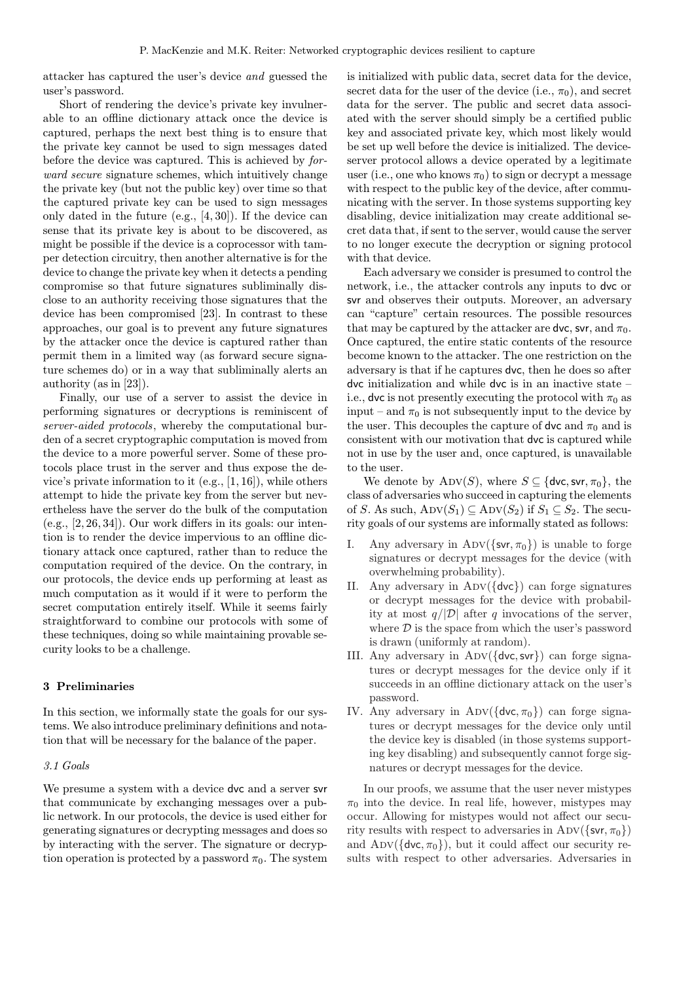attacker has captured the user's device and guessed the user's password.

Short of rendering the device's private key invulnerable to an offline dictionary attack once the device is captured, perhaps the next best thing is to ensure that the private key cannot be used to sign messages dated before the device was captured. This is achieved by forward secure signature schemes, which intuitively change the private key (but not the public key) over time so that the captured private key can be used to sign messages only dated in the future (e.g., [4, 30]). If the device can sense that its private key is about to be discovered, as might be possible if the device is a coprocessor with tamper detection circuitry, then another alternative is for the device to change the private key when it detects a pending compromise so that future signatures subliminally disclose to an authority receiving those signatures that the device has been compromised [23]. In contrast to these approaches, our goal is to prevent any future signatures by the attacker once the device is captured rather than permit them in a limited way (as forward secure signature schemes do) or in a way that subliminally alerts an authority (as in [23]).

Finally, our use of a server to assist the device in performing signatures or decryptions is reminiscent of server-aided protocols, whereby the computational burden of a secret cryptographic computation is moved from the device to a more powerful server. Some of these protocols place trust in the server and thus expose the device's private information to it (e.g., [1, 16]), while others attempt to hide the private key from the server but nevertheless have the server do the bulk of the computation  $(e.g., [2, 26, 34])$ . Our work differs in its goals: our intention is to render the device impervious to an offline dictionary attack once captured, rather than to reduce the computation required of the device. On the contrary, in our protocols, the device ends up performing at least as much computation as it would if it were to perform the secret computation entirely itself. While it seems fairly straightforward to combine our protocols with some of these techniques, doing so while maintaining provable security looks to be a challenge.

## 3 Preliminaries

In this section, we informally state the goals for our systems. We also introduce preliminary definitions and notation that will be necessary for the balance of the paper.

# 3.1 Goals

We presume a system with a device dvc and a server svr that communicate by exchanging messages over a public network. In our protocols, the device is used either for generating signatures or decrypting messages and does so by interacting with the server. The signature or decryption operation is protected by a password  $\pi_0$ . The system is initialized with public data, secret data for the device, secret data for the user of the device (i.e.,  $\pi_0$ ), and secret data for the server. The public and secret data associated with the server should simply be a certified public key and associated private key, which most likely would be set up well before the device is initialized. The deviceserver protocol allows a device operated by a legitimate user (i.e., one who knows  $\pi_0$ ) to sign or decrypt a message with respect to the public key of the device, after communicating with the server. In those systems supporting key disabling, device initialization may create additional secret data that, if sent to the server, would cause the server to no longer execute the decryption or signing protocol with that device.

Each adversary we consider is presumed to control the network, i.e., the attacker controls any inputs to dvc or svr and observes their outputs. Moreover, an adversary can "capture" certain resources. The possible resources that may be captured by the attacker are dvc, svr, and  $\pi_0$ . Once captured, the entire static contents of the resource become known to the attacker. The one restriction on the adversary is that if he captures dvc, then he does so after dvc initialization and while dvc is in an inactive state – i.e., dvc is not presently executing the protocol with  $\pi_0$  as input – and  $\pi_0$  is not subsequently input to the device by the user. This decouples the capture of dvc and  $\pi_0$  and is consistent with our motivation that dvc is captured while not in use by the user and, once captured, is unavailable to the user.

We denote by  $\text{ADV}(S)$ , where  $S \subseteq \{\text{dvc}, \text{svr}, \pi_0\}$ , the class of adversaries who succeed in capturing the elements of S. As such,  $\text{ADV}(S_1) \subseteq \text{ADV}(S_2)$  if  $S_1 \subseteq S_2$ . The security goals of our systems are informally stated as follows:

- I. Any adversary in ADV( $\{swr, \pi_0\}$ ) is unable to forge signatures or decrypt messages for the device (with overwhelming probability).
- II. Any adversary in  $ADV({\{dvc\}})$  can forge signatures or decrypt messages for the device with probability at most  $q/|\mathcal{D}|$  after q invocations of the server, where  $D$  is the space from which the user's password is drawn (uniformly at random).
- III. Any adversary in  $\text{ADV}(\{\text{dvc}, \text{svr}\})$  can forge signatures or decrypt messages for the device only if it succeeds in an offline dictionary attack on the user's password.
- IV. Any adversary in ADV( $\{$ dvc,  $\pi_0\}$ ) can forge signatures or decrypt messages for the device only until the device key is disabled (in those systems supporting key disabling) and subsequently cannot forge signatures or decrypt messages for the device.

In our proofs, we assume that the user never mistypes  $\pi_0$  into the device. In real life, however, mistypes may occur. Allowing for mistypes would not affect our security results with respect to adversaries in ADV( $\{$ svr,  $\pi_0\}$ ) and ADV( $\{dv\mathbf{c}, \pi_0\}$ ), but it could affect our security results with respect to other adversaries. Adversaries in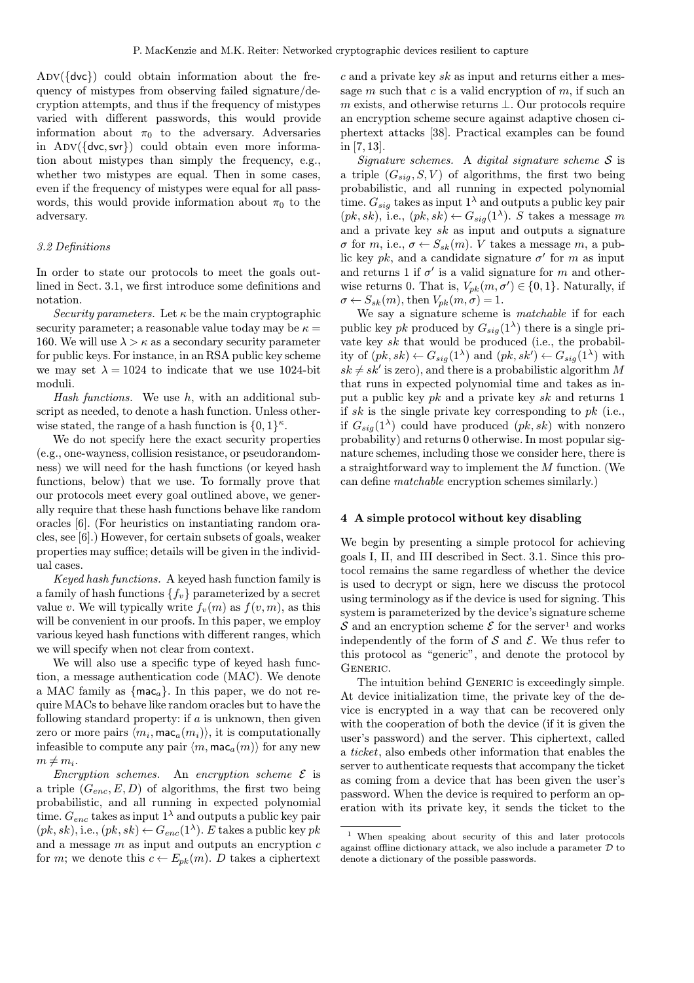$ADV({\mathsf{dvc}})$  could obtain information about the frequency of mistypes from observing failed signature/decryption attempts, and thus if the frequency of mistypes varied with different passwords, this would provide information about  $\pi_0$  to the adversary. Adversaries in  $ADV({\text{dvc},\text{svr}})$  could obtain even more information about mistypes than simply the frequency, e.g., whether two mistypes are equal. Then in some cases, even if the frequency of mistypes were equal for all passwords, this would provide information about  $\pi_0$  to the adversary.

#### 3.2 Definitions

In order to state our protocols to meet the goals outlined in Sect. 3.1, we first introduce some definitions and notation.

Security parameters. Let  $\kappa$  be the main cryptographic security parameter; a reasonable value today may be  $\kappa =$ 160. We will use  $\lambda > \kappa$  as a secondary security parameter for public keys. For instance, in an RSA public key scheme we may set  $\lambda = 1024$  to indicate that we use 1024-bit moduli.

Hash functions. We use  $h$ , with an additional subscript as needed, to denote a hash function. Unless otherwise stated, the range of a hash function is  $\{0,1\}^{\kappa}$ .

We do not specify here the exact security properties (e.g., one-wayness, collision resistance, or pseudorandomness) we will need for the hash functions (or keyed hash functions, below) that we use. To formally prove that our protocols meet every goal outlined above, we generally require that these hash functions behave like random oracles [6]. (For heuristics on instantiating random oracles, see [6].) However, for certain subsets of goals, weaker properties may suffice; details will be given in the individual cases.

Keyed hash functions. A keyed hash function family is a family of hash functions  $\{f_v\}$  parameterized by a secret value v. We will typically write  $f_v(m)$  as  $f(v,m)$ , as this will be convenient in our proofs. In this paper, we employ various keyed hash functions with different ranges, which we will specify when not clear from context.

We will also use a specific type of keyed hash function, a message authentication code (MAC). We denote a MAC family as  $\{mac_a\}$ . In this paper, we do not require MACs to behave like random oracles but to have the following standard property: if  $a$  is unknown, then given zero or more pairs  $\langle m_i, \text{mac}_a(m_i) \rangle$ , it is computationally infeasible to compute any pair  $\langle m, \text{mac}_a(m) \rangle$  for any new  $m \neq m_i$ .

Encryption schemes. An encryption scheme  $\mathcal E$  is a triple  $(G_{enc}, E, D)$  of algorithms, the first two being probabilistic, and all running in expected polynomial time.  $G_{enc}$  takes as input  $1^{\lambda}$  and outputs a public key pair  $(pk, sk)$ , i.e.,  $(pk, sk) \leftarrow G_{enc}(1^{\lambda})$ . E takes a public key pk and a message  $m$  as input and outputs an encryption  $c$ for m; we denote this  $c \leftarrow E_{pk}(m)$ . D takes a ciphertext  $c$  and a private key sk as input and returns either a message m such that c is a valid encryption of m, if such an m exists, and otherwise returns  $\bot$ . Our protocols require an encryption scheme secure against adaptive chosen ciphertext attacks [38]. Practical examples can be found in [7, 13].

Signature schemes. A digital signature scheme  $S$  is a triple  $(G_{sia}, S, V)$  of algorithms, the first two being probabilistic, and all running in expected polynomial time.  $G_{sia}$  takes as input  $1^{\lambda}$  and outputs a public key pair  $(pk, sk)$ , i.e.,  $(pk, sk) \leftarrow G_{sig}(1^{\lambda})$ . S takes a message m and a private key  $sk$  as input and outputs a signature σ for m, i.e.,  $σ \leftarrow S_{sk}(m)$ . *V* takes a message m, a public key pk, and a candidate signature  $\sigma'$  for m as input and returns 1 if  $\sigma'$  is a valid signature for m and otherwise returns 0. That is,  $V_{pk}(m, \sigma') \in \{0, 1\}$ . Naturally, if  $\sigma \leftarrow S_{sk}(m)$ , then  $V_{pk}(m, \sigma) = 1$ .

We say a signature scheme is *matchable* if for each public key pk produced by  $G_{siq}(1^{\lambda})$  there is a single private key sk that would be produced (i.e., the probability of  $(pk, sk) \leftarrow G_{sig}(1^{\lambda})$  and  $(pk, sk') \leftarrow G_{sig}(1^{\lambda})$  with  $sk \neq sk'$  is zero), and there is a probabilistic algorithm M that runs in expected polynomial time and takes as input a public key pk and a private key sk and returns 1 if sk is the single private key corresponding to  $pk$  (i.e., if  $G_{sig}(1^{\lambda})$  could have produced  $(pk, sk)$  with nonzero probability) and returns 0 otherwise. In most popular signature schemes, including those we consider here, there is a straightforward way to implement the M function. (We can define matchable encryption schemes similarly.)

# 4 A simple protocol without key disabling

We begin by presenting a simple protocol for achieving goals I, II, and III described in Sect. 3.1. Since this protocol remains the same regardless of whether the device is used to decrypt or sign, here we discuss the protocol using terminology as if the device is used for signing. This system is parameterized by the device's signature scheme  $\mathcal S$  and an encryption scheme  $\mathcal E$  for the server<sup>1</sup> and works independently of the form of  $S$  and  $\mathcal{E}$ . We thus refer to this protocol as "generic", and denote the protocol by GENERIC.

The intuition behind GENERIC is exceedingly simple. At device initialization time, the private key of the device is encrypted in a way that can be recovered only with the cooperation of both the device (if it is given the user's password) and the server. This ciphertext, called a ticket, also embeds other information that enables the server to authenticate requests that accompany the ticket as coming from a device that has been given the user's password. When the device is required to perform an operation with its private key, it sends the ticket to the

<sup>1</sup> When speaking about security of this and later protocols against offline dictionary attack, we also include a parameter  $D$  to denote a dictionary of the possible passwords.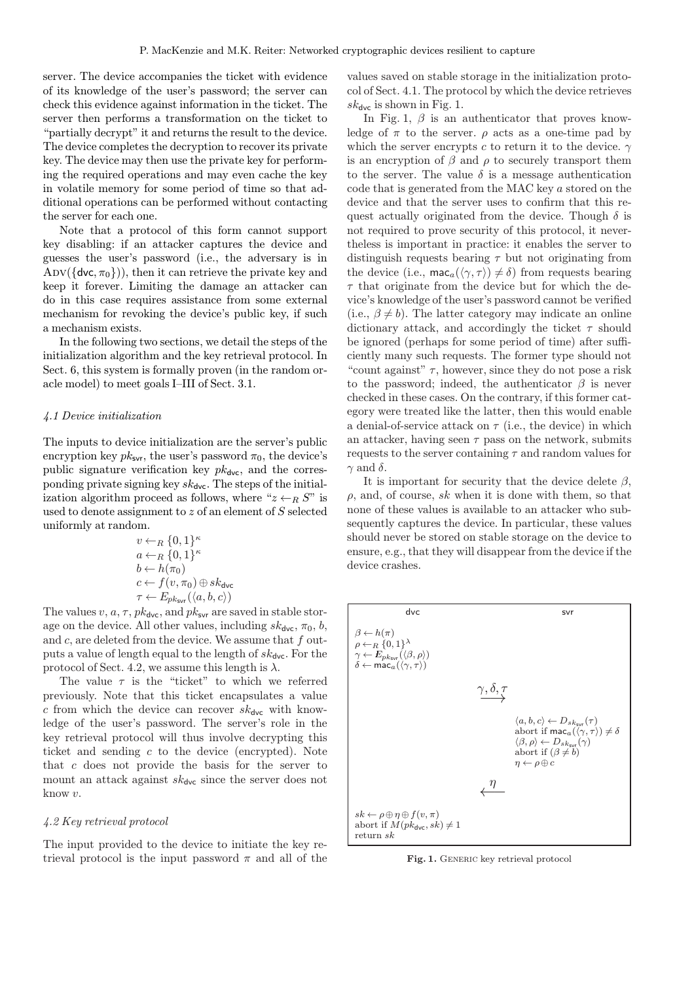server. The device accompanies the ticket with evidence of its knowledge of the user's password; the server can check this evidence against information in the ticket. The server then performs a transformation on the ticket to "partially decrypt" it and returns the result to the device. The device completes the decryption to recover its private key. The device may then use the private key for performing the required operations and may even cache the key in volatile memory for some period of time so that additional operations can be performed without contacting the server for each one.

Note that a protocol of this form cannot support key disabling: if an attacker captures the device and guesses the user's password (i.e., the adversary is in  $\text{ADV}(\{\text{dvc}, \pi_0\})$ , then it can retrieve the private key and keep it forever. Limiting the damage an attacker can do in this case requires assistance from some external mechanism for revoking the device's public key, if such a mechanism exists.

In the following two sections, we detail the steps of the initialization algorithm and the key retrieval protocol. In Sect. 6, this system is formally proven (in the random oracle model) to meet goals I–III of Sect. 3.1.

## 4.1 Device initialization

The inputs to device initialization are the server's public encryption key  $pk_{\text{svr}}$ , the user's password  $\pi_0$ , the device's public signature verification key  $pk_{\text{dvc}}$ , and the corresponding private signing key  $sk_{\text{dvc}}$ . The steps of the initialization algorithm proceed as follows, where " $z \leftarrow_R S$ " is used to denote assignment to z of an element of S selected uniformly at random.

$$
\begin{array}{l} v \leftarrow_R \{0,1\}^\kappa\\ a \leftarrow_R \{0,1\}^\kappa\\ b \leftarrow h(\pi_0)\\ c \leftarrow f(v,\pi_0) \oplus sk_{\mathsf{dvc}}\\ \tau \leftarrow E_{p k_{\mathsf{SVr}}}(\langle a,b,c \rangle) \end{array}
$$

The values v,  $a, \tau, pk_{\text{dvc}}$ , and  $pk_{\text{svr}}$  are saved in stable storage on the device. All other values, including  $sk_{\text{dvc}}$ ,  $\pi_0$ ,  $b$ , and  $c$ , are deleted from the device. We assume that  $f$  outputs a value of length equal to the length of  $sk_{\text{dyc}}$ . For the protocol of Sect. 4.2, we assume this length is  $\lambda$ .

The value  $\tau$  is the "ticket" to which we referred previously. Note that this ticket encapsulates a value c from which the device can recover  $sk_{\text{dyc}}$  with knowledge of the user's password. The server's role in the key retrieval protocol will thus involve decrypting this ticket and sending c to the device (encrypted). Note that c does not provide the basis for the server to mount an attack against  $sk_{\text{dvc}}$  since the server does not know v.

#### 4.2 Key retrieval protocol

The input provided to the device to initiate the key retrieval protocol is the input password  $\pi$  and all of the values saved on stable storage in the initialization protocol of Sect. 4.1. The protocol by which the device retrieves  $sk_{\text{dvc}}$  is shown in Fig. 1.

In Fig. 1,  $\beta$  is an authenticator that proves knowledge of  $\pi$  to the server.  $\rho$  acts as a one-time pad by which the server encrypts c to return it to the device.  $\gamma$ is an encryption of  $\beta$  and  $\rho$  to securely transport them to the server. The value  $\delta$  is a message authentication code that is generated from the MAC key a stored on the device and that the server uses to confirm that this request actually originated from the device. Though  $\delta$  is not required to prove security of this protocol, it nevertheless is important in practice: it enables the server to distinguish requests bearing  $\tau$  but not originating from the device (i.e.,  $\textsf{mac}_a(\langle \gamma, \tau \rangle) \neq \delta$ ) from requests bearing  $\tau$  that originate from the device but for which the device's knowledge of the user's password cannot be verified (i.e.,  $\beta \neq b$ ). The latter category may indicate an online dictionary attack, and accordingly the ticket  $\tau$  should be ignored (perhaps for some period of time) after sufficiently many such requests. The former type should not "count against"  $\tau$ , however, since they do not pose a risk to the password; indeed, the authenticator  $\beta$  is never checked in these cases. On the contrary, if this former category were treated like the latter, then this would enable a denial-of-service attack on  $\tau$  (i.e., the device) in which an attacker, having seen  $\tau$  pass on the network, submits requests to the server containing  $\tau$  and random values for  $\gamma$  and  $\delta$ .

It is important for security that the device delete  $\beta$ ,  $\rho$ , and, of course, sk when it is done with them, so that none of these values is available to an attacker who subsequently captures the device. In particular, these values should never be stored on stable storage on the device to ensure, e.g., that they will disappear from the device if the device crashes.



Fig. 1. GENERIC key retrieval protocol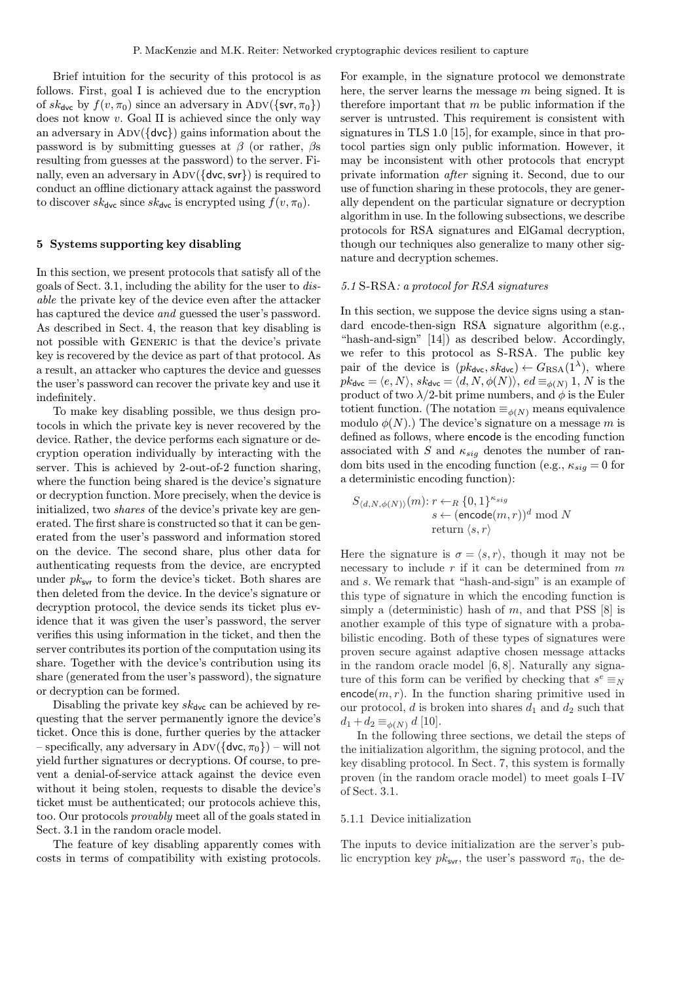Brief intuition for the security of this protocol is as follows. First, goal I is achieved due to the encryption of  $sk_{\text{dyc}}$  by  $f(v, \pi_0)$  since an adversary in ADV({svr,  $\pi_0$ }) does not know v. Goal II is achieved since the only way an adversary in  $\text{ADV}(\{\text{dvc}\})$  gains information about the password is by submitting guesses at  $\beta$  (or rather,  $\beta$ s resulting from guesses at the password) to the server. Finally, even an adversary in  $ADV({\{dvc,svr\}})$  is required to conduct an offline dictionary attack against the password to discover  $sk_{\text{dyc}}$  since  $sk_{\text{dyc}}$  is encrypted using  $f(v, \pi_0)$ .

## 5 Systems supporting key disabling

In this section, we present protocols that satisfy all of the goals of Sect. 3.1, including the ability for the user to disable the private key of the device even after the attacker has captured the device *and* guessed the user's password. As described in Sect. 4, the reason that key disabling is not possible with GENERIC is that the device's private key is recovered by the device as part of that protocol. As a result, an attacker who captures the device and guesses the user's password can recover the private key and use it indefinitely.

To make key disabling possible, we thus design protocols in which the private key is never recovered by the device. Rather, the device performs each signature or decryption operation individually by interacting with the server. This is achieved by 2-out-of-2 function sharing, where the function being shared is the device's signature or decryption function. More precisely, when the device is initialized, two shares of the device's private key are generated. The first share is constructed so that it can be generated from the user's password and information stored on the device. The second share, plus other data for authenticating requests from the device, are encrypted under  $pk_{\text{svr}}$  to form the device's ticket. Both shares are then deleted from the device. In the device's signature or decryption protocol, the device sends its ticket plus evidence that it was given the user's password, the server verifies this using information in the ticket, and then the server contributes its portion of the computation using its share. Together with the device's contribution using its share (generated from the user's password), the signature or decryption can be formed.

Disabling the private key  $sk_{\text{dvc}}$  can be achieved by requesting that the server permanently ignore the device's ticket. Once this is done, further queries by the attacker – specifically, any adversary in ADV( $\{$ dvc,  $\pi_0\}$ ) – will not yield further signatures or decryptions. Of course, to prevent a denial-of-service attack against the device even without it being stolen, requests to disable the device's ticket must be authenticated; our protocols achieve this, too. Our protocols provably meet all of the goals stated in Sect. 3.1 in the random oracle model.

The feature of key disabling apparently comes with costs in terms of compatibility with existing protocols. For example, in the signature protocol we demonstrate here, the server learns the message m being signed. It is therefore important that  $m$  be public information if the server is untrusted. This requirement is consistent with signatures in TLS 1.0 [15], for example, since in that protocol parties sign only public information. However, it may be inconsistent with other protocols that encrypt private information after signing it. Second, due to our use of function sharing in these protocols, they are generally dependent on the particular signature or decryption algorithm in use. In the following subsections, we describe protocols for RSA signatures and ElGamal decryption, though our techniques also generalize to many other signature and decryption schemes.

# 5.1 S-RSA: a protocol for RSA signatures

In this section, we suppose the device signs using a standard encode-then-sign RSA signature algorithm (e.g., "hash-and-sign" [14]) as described below. Accordingly, we refer to this protocol as S-RSA. The public key pair of the device is  $(pk_{\text{dvc}}, sk_{\text{dvc}}) \leftarrow G_{\text{RSA}}(1^{\lambda})$ , where  $pk_{\text{dvc}} = \langle e, N \rangle$ ,  $sk_{\text{dvc}} = \langle d, N, \phi(N) \rangle$ ,  $ed \equiv_{\phi(N)} 1$ , N is the product of two  $\lambda/2$ -bit prime numbers, and  $\phi$  is the Euler totient function. (The notation  $\equiv_{\phi(N)}$  means equivalence modulo  $\phi(N)$ .) The device's signature on a message m is defined as follows, where encode is the encoding function associated with S and  $\kappa_{sig}$  denotes the number of random bits used in the encoding function (e.g.,  $\kappa_{sig} = 0$  for a deterministic encoding function):

$$
S_{\langle d,N,\phi(N)\rangle}(m): r \leftarrow_R \{0,1\}^{\kappa_{sig}}
$$

$$
s \leftarrow (\text{encode}(m,r))^d \mod N
$$
 return  $\langle s,r \rangle$ 

Here the signature is  $\sigma = \langle s, r \rangle$ , though it may not be necessary to include  $r$  if it can be determined from  $m$ and s. We remark that "hash-and-sign" is an example of this type of signature in which the encoding function is simply a (deterministic) hash of m, and that PSS  $[8]$  is another example of this type of signature with a probabilistic encoding. Both of these types of signatures were proven secure against adaptive chosen message attacks in the random oracle model  $[6, 8]$ . Naturally any signature of this form can be verified by checking that  $s^e \equiv_N$ encode $(m, r)$ . In the function sharing primitive used in our protocol,  $d$  is broken into shares  $d_1$  and  $d_2$  such that  $d_1 + d_2 \equiv_{\phi(N)} d$  [10].

In the following three sections, we detail the steps of the initialization algorithm, the signing protocol, and the key disabling protocol. In Sect. 7, this system is formally proven (in the random oracle model) to meet goals I–IV of Sect. 3.1.

## 5.1.1 Device initialization

The inputs to device initialization are the server's public encryption key  $pk_{\text{svr}}$ , the user's password  $\pi_0$ , the de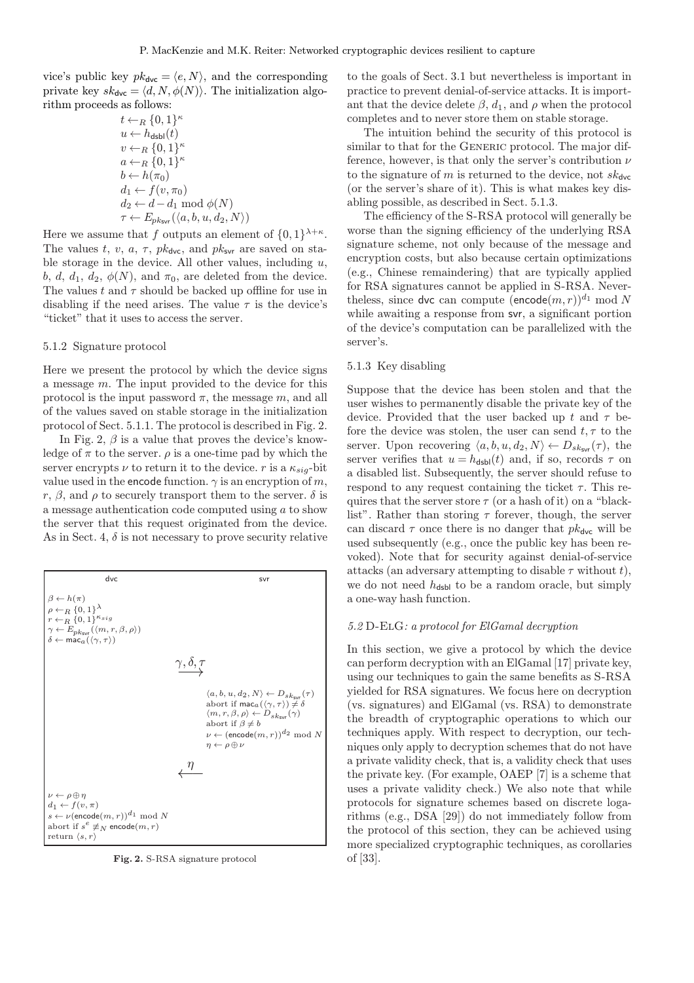vice's public key  $pk_{\text{dvc}} = \langle e, N \rangle$ , and the corresponding private key  $sk_{\text{dyc}} = \langle d, N, \phi(N) \rangle$ . The initialization algorithm proceeds as follows:

$$
t \leftarrow_R \{0,1\}^{\kappa} \n u \leftarrow h_{\text{dsbl}}(t) \n v \leftarrow_R \{0,1\}^{\kappa} \n a \leftarrow_R \{0,1\}^{\kappa} \n b \leftarrow h(\pi_0) \n d_1 \leftarrow f(v, \pi_0) \n d_2 \leftarrow d - d_1 \bmod \phi(N) \n \tau \leftarrow E_{pk_{\text{svr}}}(\langle a, b, u, d_2, N \rangle)
$$

Here we assume that f outputs an element of  $\{0,1\}^{\lambda+\kappa}$ . The values t, v, a,  $\tau$ ,  $pk_{\text{dvc}}$ , and  $pk_{\text{svr}}$  are saved on stable storage in the device. All other values, including  $u$ , b, d, d<sub>1</sub>, d<sub>2</sub>,  $\phi(N)$ , and  $\pi_0$ , are deleted from the device. The values t and  $\tau$  should be backed up offline for use in disabling if the need arises. The value  $\tau$  is the device's "ticket" that it uses to access the server.

#### 5.1.2 Signature protocol

Here we present the protocol by which the device signs a message m. The input provided to the device for this protocol is the input password  $\pi$ , the message m, and all of the values saved on stable storage in the initialization protocol of Sect. 5.1.1. The protocol is described in Fig. 2.

In Fig. 2,  $\beta$  is a value that proves the device's knowledge of  $\pi$  to the server.  $\rho$  is a one-time pad by which the server encrypts  $\nu$  to return it to the device. r is a  $\kappa_{sia}$ -bit value used in the encode function.  $\gamma$  is an encryption of m, r,  $\beta$ , and  $\rho$  to securely transport them to the server.  $\delta$  is a message authentication code computed using a to show the server that this request originated from the device. As in Sect. 4,  $\delta$  is not necessary to prove security relative



Fig. 2. S-RSA signature protocol

to the goals of Sect. 3.1 but nevertheless is important in practice to prevent denial-of-service attacks. It is important that the device delete  $\beta$ ,  $d_1$ , and  $\rho$  when the protocol completes and to never store them on stable storage.

The intuition behind the security of this protocol is similar to that for the GENERIC protocol. The major difference, however, is that only the server's contribution  $\nu$ to the signature of m is returned to the device, not  $sk_{\text{dvc}}$ (or the server's share of it). This is what makes key disabling possible, as described in Sect. 5.1.3.

The efficiency of the S-RSA protocol will generally be worse than the signing efficiency of the underlying RSA signature scheme, not only because of the message and encryption costs, but also because certain optimizations (e.g., Chinese remaindering) that are typically applied for RSA signatures cannot be applied in S-RSA. Nevertheless, since dvc can compute  $(\text{encode}(m, r))^{d_1} \text{ mod } N$ while awaiting a response from svr, a significant portion of the device's computation can be parallelized with the server's.

## 5.1.3 Key disabling

Suppose that the device has been stolen and that the user wishes to permanently disable the private key of the device. Provided that the user backed up t and  $\tau$  before the device was stolen, the user can send  $t, \tau$  to the server. Upon recovering  $\langle a, b, u, d_2, N \rangle \leftarrow D_{sk_{\text{sur}}}(\tau)$ , the server verifies that  $u = h_{\text{dsbl}}(t)$  and, if so, records  $\tau$  on a disabled list. Subsequently, the server should refuse to respond to any request containing the ticket  $\tau$ . This requires that the server store  $\tau$  (or a hash of it) on a "blacklist". Rather than storing  $\tau$  forever, though, the server can discard  $\tau$  once there is no danger that  $pk_{\text{dvc}}$  will be used subsequently (e.g., once the public key has been revoked). Note that for security against denial-of-service attacks (an adversary attempting to disable  $\tau$  without t), we do not need  $h_{\text{dsbl}}$  to be a random oracle, but simply a one-way hash function.

#### 5.2 D-ElG: a protocol for ElGamal decryption

In this section, we give a protocol by which the device can perform decryption with an ElGamal [17] private key, using our techniques to gain the same benefits as S-RSA yielded for RSA signatures. We focus here on decryption (vs. signatures) and ElGamal (vs. RSA) to demonstrate the breadth of cryptographic operations to which our techniques apply. With respect to decryption, our techniques only apply to decryption schemes that do not have a private validity check, that is, a validity check that uses the private key. (For example, OAEP [7] is a scheme that uses a private validity check.) We also note that while protocols for signature schemes based on discrete logarithms (e.g., DSA [29]) do not immediately follow from the protocol of this section, they can be achieved using more specialized cryptographic techniques, as corollaries of [33].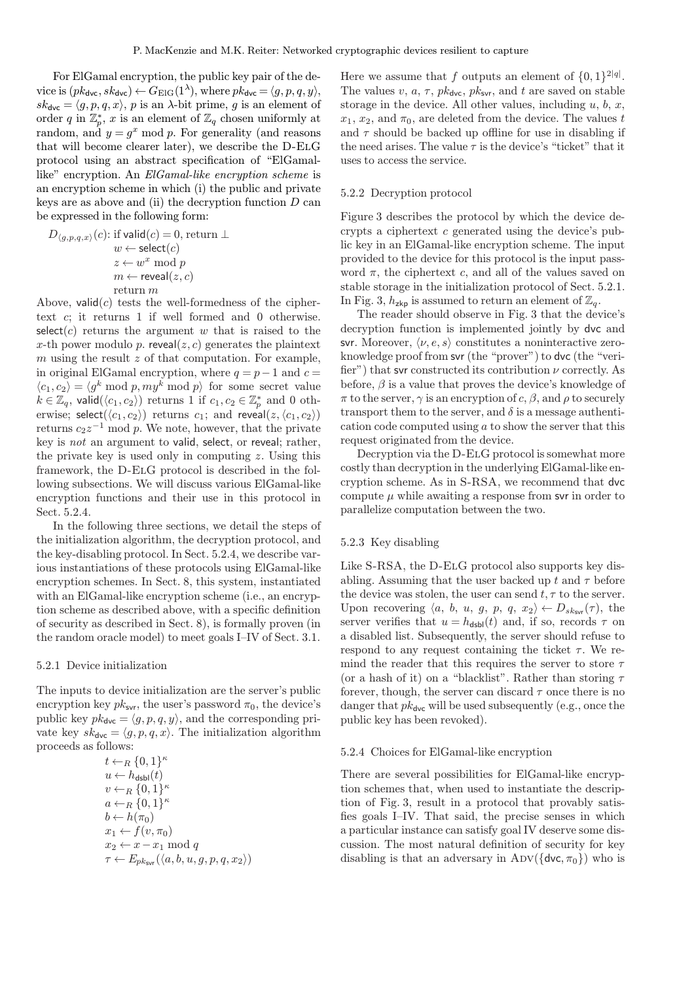For ElGamal encryption, the public key pair of the device is  $(pk_{\text{dvc}}, sk_{\text{dvc}}) \leftarrow G_{\text{ElG}}(1^{\lambda})$ , where  $pk_{\text{dvc}} = \langle g, p, q, y \rangle$ ,  $sk_{\text{dvc}} = \langle g, p, q, x \rangle$ , p is an  $\lambda$ -bit prime, g is an element of order q in  $\mathbb{Z}_p^*$ , x is an element of  $\mathbb{Z}_q$  chosen uniformly at random, and  $y = g^x \mod p$ . For generality (and reasons that will become clearer later), we describe the D-ElG protocol using an abstract specification of "ElGamallike" encryption. An ElGamal-like encryption scheme is an encryption scheme in which (i) the public and private keys are as above and (ii) the decryption function  $D$  can be expressed in the following form:

$$
D_{\langle g,p,q,x \rangle}(c)
$$
: if  $\text{valid}(c) = 0$ , return  $\bot$   
\n
$$
w \leftarrow \text{select}(c)
$$
  
\n
$$
z \leftarrow w^x \mod p
$$
  
\n
$$
m \leftarrow \text{reveal}(z, c)
$$
  
\nreturn  $m$ 

Above, valid $(c)$  tests the well-formedness of the ciphertext c; it returns 1 if well formed and 0 otherwise. select(c) returns the argument w that is raised to the x-th power modulo p. reveal $(z, c)$  generates the plaintext  $m$  using the result  $z$  of that computation. For example, in original ElGamal encryption, where  $q = p-1$  and  $c =$  $\langle c_1, c_2 \rangle = \langle g^k \bmod p, my^k \bmod p \rangle$  for some secret value  $k \in \mathbb{Z}_q$ , valid $(\langle c_1, c_2 \rangle)$  returns 1 if  $c_1, c_2 \in \mathbb{Z}_p^*$  and 0 otherwise; select( $\langle c_1, c_2 \rangle$ ) returns  $c_1$ ; and reveal( $z, \langle c_1, c_2 \rangle$ ) returns  $c_2z^{-1}$  mod p. We note, however, that the private key is not an argument to valid, select, or reveal; rather, the private key is used only in computing  $z$ . Using this framework, the D-ElG protocol is described in the following subsections. We will discuss various ElGamal-like encryption functions and their use in this protocol in Sect. 5.2.4.

In the following three sections, we detail the steps of the initialization algorithm, the decryption protocol, and the key-disabling protocol. In Sect. 5.2.4, we describe various instantiations of these protocols using ElGamal-like encryption schemes. In Sect. 8, this system, instantiated with an ElGamal-like encryption scheme (i.e., an encryption scheme as described above, with a specific definition of security as described in Sect. 8), is formally proven (in the random oracle model) to meet goals I–IV of Sect. 3.1.

#### 5.2.1 Device initialization

The inputs to device initialization are the server's public encryption key  $pk_{\text{svr}}$ , the user's password  $\pi_0$ , the device's public key  $pk_{\text{dvc}} = \langle g, p, q, y \rangle$ , and the corresponding private key  $sk_{\text{dvc}} = \langle g, p, q, x \rangle$ . The initialization algorithm proceeds as follows:  $\frac{1}{2}$ 

$$
t \leftarrow_R \{0,1\}^{\kappa}
$$
  
\n
$$
u \leftarrow h_{\text{dsbl}}(t)
$$
  
\n
$$
v \leftarrow_R \{0,1\}^{\kappa}
$$
  
\n
$$
a \leftarrow_R \{0,1\}^{\kappa}
$$
  
\n
$$
b \leftarrow h(\pi_0)
$$
  
\n
$$
x_1 \leftarrow f(v, \pi_0)
$$
  
\n
$$
x_2 \leftarrow x - x_1 \mod q
$$
  
\n
$$
\tau \leftarrow E_{pk_{\text{svr}}}(\langle a, b, u, g, p, q, x_2 \rangle)
$$

Here we assume that f outputs an element of  $\{0,1\}^{2|q|}$ . The values v,  $a, \tau, pk_{\text{dyc}}, pk_{\text{svr}},$  and t are saved on stable storage in the device. All other values, including  $u, b, x$ ,  $x_1, x_2$ , and  $\pi_0$ , are deleted from the device. The values t and  $\tau$  should be backed up offline for use in disabling if the need arises. The value  $\tau$  is the device's "ticket" that it uses to access the service.

## 5.2.2 Decryption protocol

Figure 3 describes the protocol by which the device decrypts a ciphertext c generated using the device's public key in an ElGamal-like encryption scheme. The input provided to the device for this protocol is the input password  $\pi$ , the ciphertext c, and all of the values saved on stable storage in the initialization protocol of Sect. 5.2.1. In Fig. 3,  $h_{\mathsf{zko}}$  is assumed to return an element of  $\mathbb{Z}_q$ .

The reader should observe in Fig. 3 that the device's decryption function is implemented jointly by dvc and svr. Moreover,  $\langle \nu, e, s \rangle$  constitutes a noninteractive zeroknowledge proof from svr (the "prover") to dvc (the "verifier") that svr constructed its contribution  $\nu$  correctly. As before,  $\beta$  is a value that proves the device's knowledge of  $\pi$  to the server,  $\gamma$  is an encryption of c,  $\beta$ , and  $\rho$  to securely transport them to the server, and  $\delta$  is a message authentication code computed using  $a$  to show the server that this request originated from the device.

Decryption via the D-ElG protocol is somewhat more costly than decryption in the underlying ElGamal-like encryption scheme. As in S-RSA, we recommend that dvc compute  $\mu$  while awaiting a response from svr in order to parallelize computation between the two.

## 5.2.3 Key disabling

Like S-RSA, the D-ElG protocol also supports key disabling. Assuming that the user backed up t and  $\tau$  before the device was stolen, the user can send  $t, \tau$  to the server. Upon recovering  $\langle a, b, u, g, p, q, x_2 \rangle \leftarrow D_{sk_{\text{svr}}}(\tau)$ , the server verifies that  $u = h_{\text{dsbl}}(t)$  and, if so, records  $\tau$  on a disabled list. Subsequently, the server should refuse to respond to any request containing the ticket  $\tau$ . We remind the reader that this requires the server to store  $\tau$ (or a hash of it) on a "blacklist". Rather than storing  $\tau$ forever, though, the server can discard  $\tau$  once there is no danger that  $pk_{\text{dvc}}$  will be used subsequently (e.g., once the public key has been revoked).

#### 5.2.4 Choices for ElGamal-like encryption

There are several possibilities for ElGamal-like encryption schemes that, when used to instantiate the description of Fig. 3, result in a protocol that provably satisfies goals I–IV. That said, the precise senses in which a particular instance can satisfy goal IV deserve some discussion. The most natural definition of security for key disabling is that an adversary in ADV( $\{\text{dvc}, \pi_0\}$ ) who is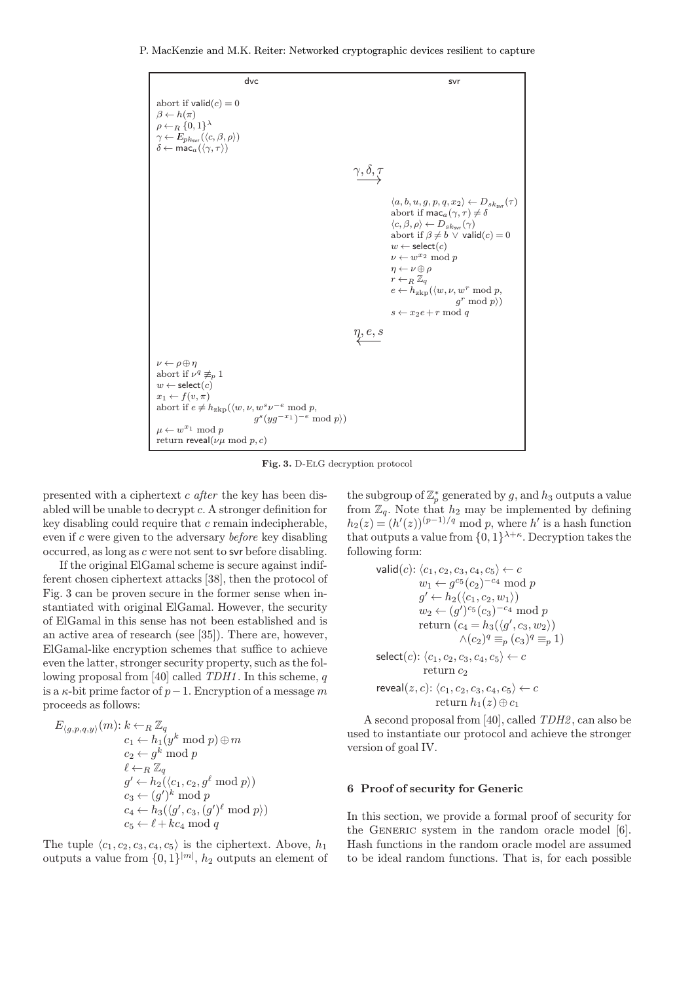P. MacKenzie and M.K. Reiter: Networked cryptographic devices resilient to capture



Fig. 3. D-ElG decryption protocol

presented with a ciphertext c after the key has been disabled will be unable to decrypt c. A stronger definition for key disabling could require that c remain indecipherable, even if c were given to the adversary before key disabling occurred, as long as c were not sent to svr before disabling.

If the original ElGamal scheme is secure against indifferent chosen ciphertext attacks [38], then the protocol of Fig. 3 can be proven secure in the former sense when instantiated with original ElGamal. However, the security of ElGamal in this sense has not been established and is an active area of research (see [35]). There are, however, ElGamal-like encryption schemes that suffice to achieve even the latter, stronger security property, such as the following proposal from [40] called  $TDH1$ . In this scheme, q is a  $\kappa$ -bit prime factor of  $p-1$ . Encryption of a message m proceeds as follows:

$$
E_{\langle g,p,q,y \rangle}(m): k \leftarrow_R \mathbb{Z}_q
$$
  
\n
$$
c_1 \leftarrow h_1(y^k \mod p) \oplus m
$$
  
\n
$$
c_2 \leftarrow g^k \mod p
$$
  
\n
$$
\ell \leftarrow_R \mathbb{Z}_q
$$
  
\n
$$
g' \leftarrow h_2(\langle c_1, c_2, g^{\ell} \mod p \rangle)
$$
  
\n
$$
c_3 \leftarrow (g')^k \mod p
$$
  
\n
$$
c_4 \leftarrow h_3(\langle g', c_3, (g')^{\ell} \mod p \rangle)
$$
  
\n
$$
c_5 \leftarrow \ell + k c_4 \mod q
$$

The tuple  $\langle c_1, c_2, c_3, c_4, c_5 \rangle$  is the ciphertext. Above,  $h_1$ outputs a value from  $\{0,1\}^{|m|}$ ,  $h_2$  outputs an element of

the subgroup of  $\mathbb{Z}_p^*$  generated by g, and  $h_3$  outputs a value from  $\mathbb{Z}_q$ . Note that  $h_2$  may be implemented by defining  $h_2(z) = (h'(z))^{(p-1)/q} \text{ mod } p$ , where h' is a hash function that outputs a value from  $\{0,1\}^{\lambda+\kappa}$ . Decryption takes the following form:

valid(c): 
$$
\langle c_1, c_2, c_3, c_4, c_5 \rangle \leftarrow c
$$
\n $w_1 \leftarrow g^{c_5}(c_2)^{-c_4} \mod p$ \n $g' \leftarrow h_2(\langle c_1, c_2, w_1 \rangle)$ \n $w_2 \leftarrow (g')^{c_5}(c_3)^{-c_4} \mod p$ \nreturn  $(c_4 = h_3(\langle g', c_3, w_2 \rangle) \land (c_2)^q \equiv_p (c_3)^q \equiv_p 1)$ \nselect(c):  $\langle c_1, c_2, c_3, c_4, c_5 \rangle \leftarrow c$ \nreturn  $c_2$ \nreveal $(z, c)$ :  $\langle c_1, c_2, c_3, c_4, c_5 \rangle \leftarrow c$ \nreturn  $h_1(z) \oplus c_1$ 

A second proposal from [40], called TDH2, can also be used to instantiate our protocol and achieve the stronger version of goal IV.

## 6 Proof of security for Generic

In this section, we provide a formal proof of security for the GENERIC system in the random oracle model [6]. Hash functions in the random oracle model are assumed to be ideal random functions. That is, for each possible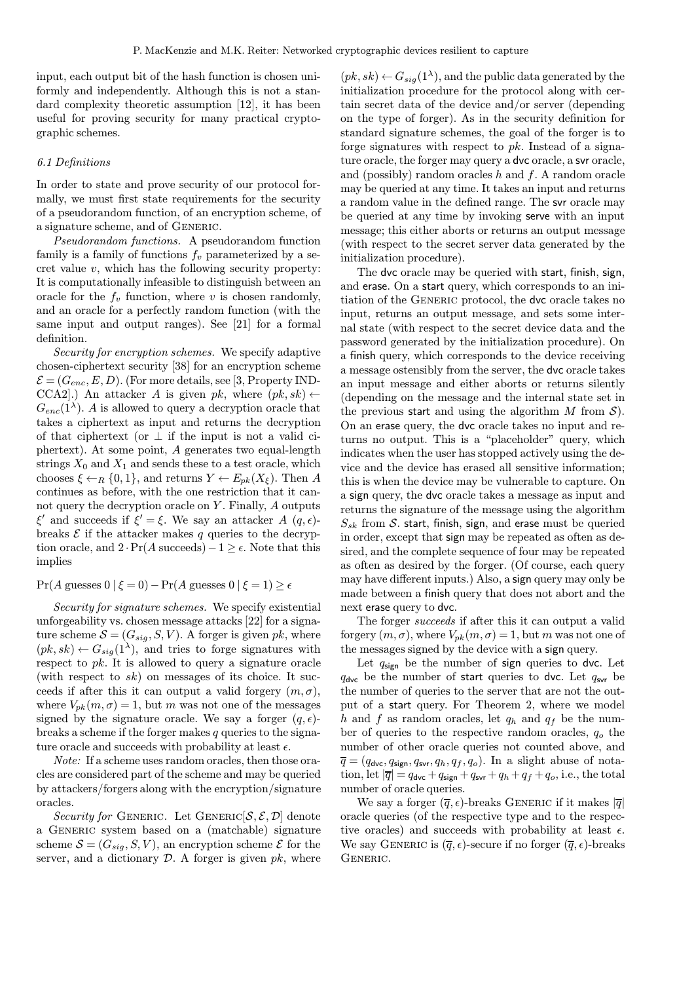input, each output bit of the hash function is chosen uniformly and independently. Although this is not a standard complexity theoretic assumption [12], it has been useful for proving security for many practical cryptographic schemes.

## 6.1 Definitions

In order to state and prove security of our protocol formally, we must first state requirements for the security of a pseudorandom function, of an encryption scheme, of a signature scheme, and of Generic.

Pseudorandom functions. A pseudorandom function family is a family of functions  $f<sub>v</sub>$  parameterized by a secret value  $v$ , which has the following security property: It is computationally infeasible to distinguish between an oracle for the  $f_v$  function, where v is chosen randomly, and an oracle for a perfectly random function (with the same input and output ranges). See [21] for a formal definition.

Security for encryption schemes. We specify adaptive chosen-ciphertext security [38] for an encryption scheme  $\mathcal{E} = (G_{enc}, E, D)$ . (For more details, see [3, Property IND-CCA2].) An attacker A is given pk, where  $(pk, sk) \leftarrow$  $G_{enc}(1^{\lambda})$ . A is allowed to query a decryption oracle that takes a ciphertext as input and returns the decryption of that ciphertext (or  $\perp$  if the input is not a valid ciphertext). At some point, A generates two equal-length strings  $X_0$  and  $X_1$  and sends these to a test oracle, which chooses  $\xi \leftarrow_R \{0, 1\}$ , and returns  $Y \leftarrow E_{pk}(X_{\xi})$ . Then A continues as before, with the one restriction that it cannot query the decryption oracle on  $Y$ . Finally,  $A$  outputs ξ' and succeeds if  $ξ' = ξ$ . We say an attacker A  $(q, ε)$ breaks  $\mathcal E$  if the attacker makes q queries to the decryption oracle, and  $2 \cdot Pr(A \text{ succeeds}) - 1 \geq \epsilon$ . Note that this implies

 $Pr(A \text{ guesses } 0 \mid \xi = 0) - Pr(A \text{ guesses } 0 \mid \xi = 1) \ge \epsilon$ 

Security for signature schemes. We specify existential unforgeability vs. chosen message attacks [22] for a signature scheme  $S = (G_{sig}, S, V)$ . A forger is given pk, where  $(pk, sk) \leftarrow G_{sig}(1^{\lambda})$ , and tries to forge signatures with respect to pk. It is allowed to query a signature oracle (with respect to  $sk$ ) on messages of its choice. It succeeds if after this it can output a valid forgery  $(m, \sigma)$ , where  $V_{pk}(m, \sigma) = 1$ , but m was not one of the messages signed by the signature oracle. We say a forger  $(q, \epsilon)$ breaks a scheme if the forger makes  $q$  queries to the signature oracle and succeeds with probability at least  $\epsilon$ .

Note: If a scheme uses random oracles, then those oracles are considered part of the scheme and may be queried by attackers/forgers along with the encryption/signature oracles.

Security for GENERIC. Let GENERIC  $[\mathcal{S}, \mathcal{E}, \mathcal{D}]$  denote a GENERIC system based on a (matchable) signature scheme  $S = (G_{sia}, S, V)$ , an encryption scheme  $\mathcal E$  for the server, and a dictionary  $D$ . A forger is given  $pk$ , where  $(pk, sk) \leftarrow G_{sig}(1^{\lambda})$ , and the public data generated by the initialization procedure for the protocol along with certain secret data of the device and/or server (depending on the type of forger). As in the security definition for standard signature schemes, the goal of the forger is to forge signatures with respect to  $pk$ . Instead of a signature oracle, the forger may query a dvc oracle, a svr oracle, and (possibly) random oracles  $h$  and  $f$ . A random oracle may be queried at any time. It takes an input and returns a random value in the defined range. The svr oracle may be queried at any time by invoking serve with an input message; this either aborts or returns an output message (with respect to the secret server data generated by the initialization procedure).

The dvc oracle may be queried with start, finish, sign, and erase. On a start query, which corresponds to an initiation of the Generic protocol, the dvc oracle takes no input, returns an output message, and sets some internal state (with respect to the secret device data and the password generated by the initialization procedure). On a finish query, which corresponds to the device receiving a message ostensibly from the server, the dvc oracle takes an input message and either aborts or returns silently (depending on the message and the internal state set in the previous start and using the algorithm  $M$  from  $\mathcal{S}$ ). On an erase query, the dvc oracle takes no input and returns no output. This is a "placeholder" query, which indicates when the user has stopped actively using the device and the device has erased all sensitive information; this is when the device may be vulnerable to capture. On a sign query, the dvc oracle takes a message as input and returns the signature of the message using the algorithm  $S_{sk}$  from S. start, finish, sign, and erase must be queried in order, except that sign may be repeated as often as desired, and the complete sequence of four may be repeated as often as desired by the forger. (Of course, each query may have different inputs.) Also, a sign query may only be made between a finish query that does not abort and the next erase query to dvc.

The forger *succeeds* if after this it can output a valid forgery  $(m, \sigma)$ , where  $V_{pk}(m, \sigma) = 1$ , but m was not one of the messages signed by the device with a sign query.

Let  $q_{sign}$  be the number of sign queries to dvc. Let  $q_{\text{dvc}}$  be the number of start queries to dvc. Let  $q_{\text{svr}}$  be the number of queries to the server that are not the output of a start query. For Theorem 2, where we model h and f as random oracles, let  $q_h$  and  $q_f$  be the number of queries to the respective random oracles,  $q_o$  the number of other oracle queries not counted above, and  $\overline{q} = (q_{\text{dyc}}, q_{\text{sign}}, q_{\text{svr}}, q_h, q_f, q_o)$ . In a slight abuse of notation, let  $|\overline{q}| = q_{\text{dyc}} + q_{\text{sign}} + q_{\text{svr}} + q_h + q_f + q_o$ , i.e., the total number of oracle queries.

We say a forger  $(\overline{q}, \epsilon)$ -breaks GENERIC if it makes  $|\overline{q}|$ oracle queries (of the respective type and to the respective oracles) and succeeds with probability at least  $\epsilon$ . We say GENERIC is  $(\overline{q}, \epsilon)$ -secure if no forger  $(\overline{q}, \epsilon)$ -breaks GENERIC.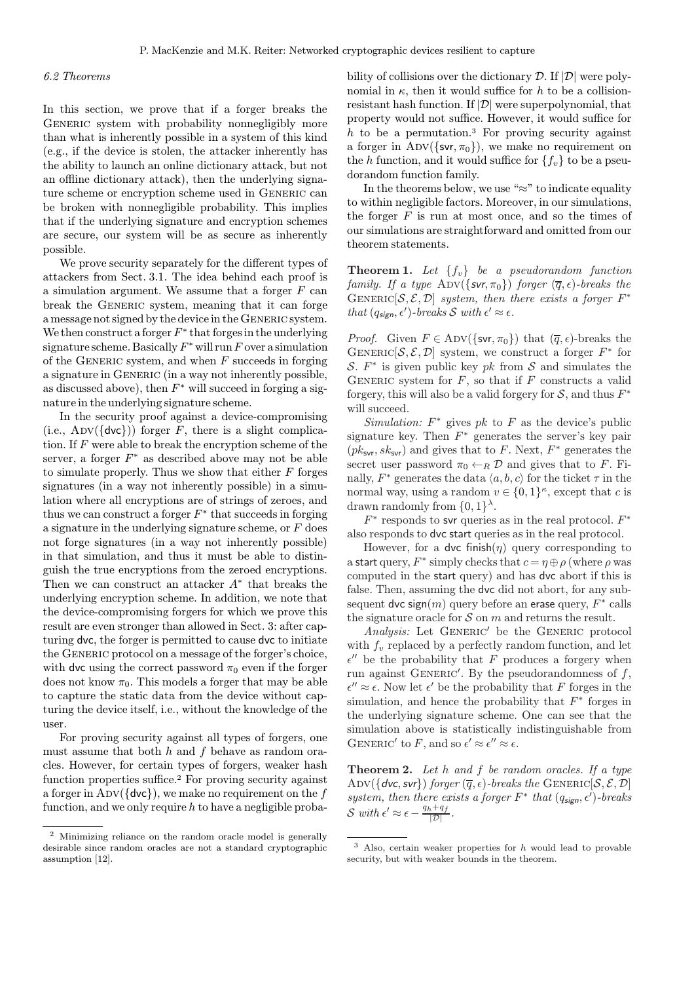#### 6.2 Theorems

In this section, we prove that if a forger breaks the GENERIC system with probability nonnegligibly more than what is inherently possible in a system of this kind (e.g., if the device is stolen, the attacker inherently has the ability to launch an online dictionary attack, but not an offline dictionary attack), then the underlying signature scheme or encryption scheme used in GENERIC can be broken with nonnegligible probability. This implies that if the underlying signature and encryption schemes are secure, our system will be as secure as inherently possible.

We prove security separately for the different types of attackers from Sect. 3.1. The idea behind each proof is a simulation argument. We assume that a forger F can break the GENERIC system, meaning that it can forge a message not signed by the device in the Generic system. We then construct a forger  $F^*$  that forges in the underlying signature scheme. Basically  $F^*$  will run F over a simulation of the GENERIC system, and when  $F$  succeeds in forging a signature in GENERIC (in a way not inherently possible, as discussed above), then  $F^*$  will succeed in forging a signature in the underlying signature scheme.

In the security proof against a device-compromising (i.e., ADV( $\{\text{dvc}\}\$ ) forger F, there is a slight complication. If  $F$  were able to break the encryption scheme of the server, a forger  $F^*$  as described above may not be able to simulate properly. Thus we show that either  $F$  forges signatures (in a way not inherently possible) in a simulation where all encryptions are of strings of zeroes, and thus we can construct a forger  $F^*$  that succeeds in forging a signature in the underlying signature scheme, or F does not forge signatures (in a way not inherently possible) in that simulation, and thus it must be able to distinguish the true encryptions from the zeroed encryptions. Then we can construct an attacker  $A^*$  that breaks the underlying encryption scheme. In addition, we note that the device-compromising forgers for which we prove this result are even stronger than allowed in Sect. 3: after capturing dvc, the forger is permitted to cause dvc to initiate the GENERIC protocol on a message of the forger's choice, with dvc using the correct password  $\pi_0$  even if the forger does not know  $\pi_0$ . This models a forger that may be able to capture the static data from the device without capturing the device itself, i.e., without the knowledge of the user.

For proving security against all types of forgers, one must assume that both  $h$  and  $f$  behave as random oracles. However, for certain types of forgers, weaker hash function properties suffice.<sup>2</sup> For proving security against a forger in ADV( $\{$ dvc $\}$ ), we make no requirement on the f function, and we only require  $h$  to have a negligible probability of collisions over the dictionary  $\mathcal{D}$ . If  $|\mathcal{D}|$  were polynomial in  $\kappa$ , then it would suffice for h to be a collisionresistant hash function. If  $|\mathcal{D}|$  were superpolynomial, that property would not suffice. However, it would suffice for  $h$  to be a permutation.<sup>3</sup> For proving security against a forger in ADV( $\{sw, \pi_0\}$ ), we make no requirement on the h function, and it would suffice for  $\{f_v\}$  to be a pseudorandom function family.

In the theorems below, we use " $\approx$ " to indicate equality to within negligible factors. Moreover, in our simulations, the forger  $F$  is run at most once, and so the times of our simulations are straightforward and omitted from our theorem statements.

**Theorem 1.** Let  $\{f_v\}$  be a pseudorandom function family. If a type  $\text{ADV}(\{\textsf{svr}, \pi_0\})$  forger  $(\overline{q}, \epsilon)$ -breaks the GENERIC $[\mathcal{S}, \mathcal{E}, \mathcal{D}]$  system, then there exists a forger  $F^*$ that  $(q_{\text{sign}}, \epsilon')$ -breaks S with  $\epsilon' \approx \epsilon$ .

*Proof.* Given  $F \in \text{ADV}(\{\textsf{svr}, \pi_0\})$  that  $(\overline{q}, \epsilon)$ -breaks the GENERIC $[\mathcal{S}, \mathcal{E}, \mathcal{D}]$  system, we construct a forger  $F^*$  for S.  $F^*$  is given public key pk from S and simulates the GENERIC system for  $F$ , so that if  $F$  constructs a valid forgery, this will also be a valid forgery for  $S$ , and thus  $F^*$ will succeed.

Simulation:  $F^*$  gives pk to F as the device's public signature key. Then  $F^*$  generates the server's key pair  $(pk_{\text{svr}}, sk_{\text{svr}})$  and gives that to F. Next,  $F^*$  generates the secret user password  $\pi_0 \leftarrow_R \mathcal{D}$  and gives that to F. Finally,  $F^*$  generates the data  $\langle a, b, c \rangle$  for the ticket  $\tau$  in the normal way, using a random  $v \in \{0,1\}^{\kappa}$ , except that c is drawn randomly from  $\{0,1\}^{\lambda}$ .

 $F^*$  responds to svr queries as in the real protocol.  $F^*$ also responds to dvc start queries as in the real protocol.

However, for a dvc finish $(\eta)$  query corresponding to a start query,  $F^*$  simply checks that  $c = \eta \oplus \rho$  (where  $\rho$  was computed in the start query) and has dvc abort if this is false. Then, assuming the dvc did not abort, for any subsequent dvc sign $(m)$  query before an erase query,  $F^*$  calls the signature oracle for  $S$  on  $m$  and returns the result.

Analysis: Let GENERIC' be the GENERIC protocol with  $f_n$  replaced by a perfectly random function, and let  $\epsilon''$  be the probability that F produces a forgery when run against GENERIC'. By the pseudorandomness of  $f$ ,  $\epsilon'' \approx \epsilon$ . Now let  $\epsilon'$  be the probability that F forges in the simulation, and hence the probability that  $F^*$  forges in the underlying signature scheme. One can see that the simulation above is statistically indistinguishable from GENERIC' to F, and so  $\epsilon' \approx \epsilon'' \approx \epsilon$ .

**Theorem 2.** Let  $h$  and  $f$  be random oracles. If a type ADV({ $dvc, svr$ }) forger ( $\overline{q}, \epsilon$ )-breaks the GENERIC[ $S, \mathcal{E}, \mathcal{D}$ ] system, then there exists a forger  $F^*$  that  $(q_{\text{sign}}, \epsilon')$ -breaks  $\mathcal{S}$  with  $\epsilon' \approx \epsilon - \frac{q_h + q_f}{|\mathcal{D}|}$ .

<sup>2</sup> Minimizing reliance on the random oracle model is generally desirable since random oracles are not a standard cryptographic assumption [12].

 $3$  Also, certain weaker properties for h would lead to provable security, but with weaker bounds in the theorem.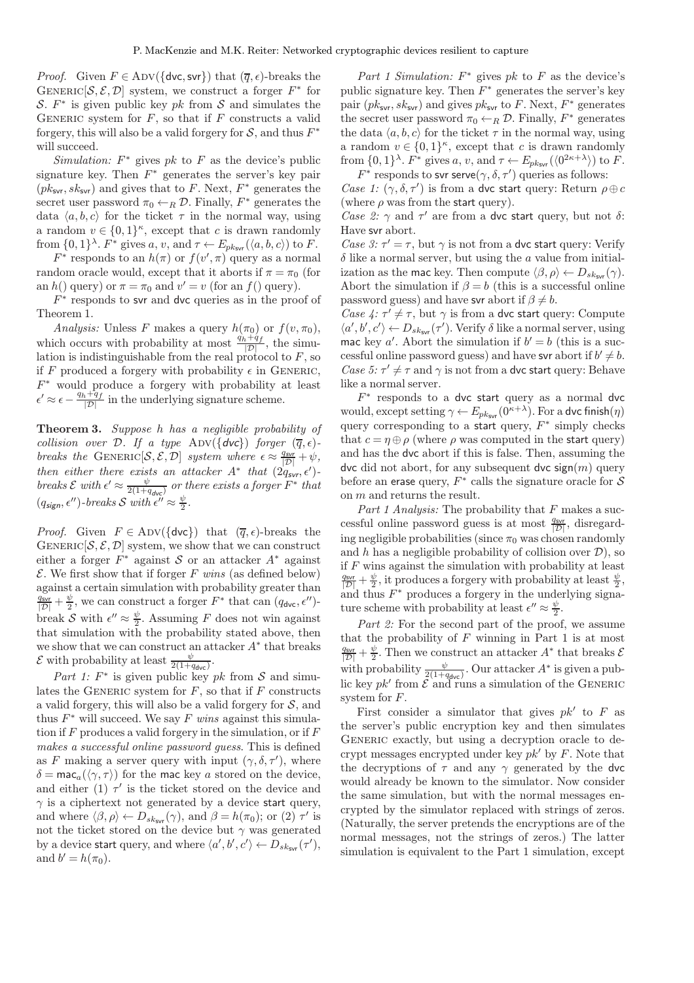*Proof.* Given  $F \in \text{ADV}({\text{dvc}, \text{svr}})$  that  $(\overline{q}, \epsilon)$ -breaks the GENERIC $[\mathcal{S}, \mathcal{E}, \mathcal{D}]$  system, we construct a forger  $F^*$  for S.  $F^*$  is given public key pk from S and simulates the GENERIC system for  $F$ , so that if  $F$  constructs a valid forgery, this will also be a valid forgery for  $S$ , and thus  $F^*$ will succeed.

Simulation:  $F^*$  gives pk to F as the device's public signature key. Then  $F^*$  generates the server's key pair  $(pk_{\text{svr}}, sk_{\text{svr}})$  and gives that to F. Next,  $F^*$  generates the secret user password  $\pi_0 \leftarrow_R \mathcal{D}$ . Finally,  $F^*$  generates the data  $\langle a, b, c \rangle$  for the ticket  $\tau$  in the normal way, using a random  $v \in \{0,1\}^{\kappa}$ , except that c is drawn randomly from  $\{0,1\}^{\lambda}$ .  $F^*$  gives a, v, and  $\tau \leftarrow E_{p k_{\text{svr}}}(\langle a, b, c \rangle)$  to F.

 $F^*$  responds to an  $h(\pi)$  or  $f(v', \pi)$  query as a normal random oracle would, except that it aborts if  $\pi = \pi_0$  (for an h() query) or  $\pi = \pi_0$  and  $v' = v$  (for an f() query).

 $F^*$  responds to svr and dvc queries as in the proof of Theorem 1.

Analysis: Unless F makes a query  $h(\pi_0)$  or  $f(v, \pi_0)$ , which occurs with probability at most  $\frac{\dot{q}_h + \dot{q}_f}{|\mathcal{D}|}$ , the simulation is indistinguishable from the real protocol to  $F$ , so if F produced a forgery with probability  $\epsilon$  in GENERIC,  $F^*$  would produce a forgery with probability at least  $\epsilon' \approx \epsilon - \frac{q_h + q_f}{|D|}$  in the underlying signature scheme.

Theorem 3. Suppose h has a negligible probability of collision over D. If a type  $\text{ADV}(\{\text{dvc}\})$  forger  $(\overline{q}, \epsilon)$ breaks the GENERIC $[\mathcal{S}, \mathcal{E}, \mathcal{D}]$  system where  $\epsilon \approx \frac{q_{\text{svr}}}{|\mathcal{D}|} + \psi$ , then either there exists an attacker  $A^*$  that  $(2q_{\text{svr}}, \epsilon')$ breaks  $\mathcal E$  with  $\epsilon' \approx \frac{\psi}{2(1+q_{\text{dvc}})}$  or there exists a forger  $F^*$  that  $(q_{\text{sign}}, \epsilon'')$ -breaks  $\mathcal S$  with  $\epsilon'' \approx \frac{\psi}{2}$ .

*Proof.* Given  $F \in \text{ADV}(\{\text{dvc}\})$  that  $(\overline{q}, \epsilon)$ -breaks the GENERIC $[\mathcal{S}, \mathcal{E}, \mathcal{D}]$  system, we show that we can construct either a forger  $F^*$  against S or an attacker  $A^*$  against  $\mathcal E$ . We first show that if forger F wins (as defined below) against a certain simulation with probability greater than  $\frac{q_{\mathsf{svr}}}{|D|} + \frac{\psi}{2}$ , we can construct a forger  $F^*$  that can  $(q_{\mathsf{dvc}}, \epsilon'')$ break S with  $\epsilon'' \approx \frac{\psi}{2}$ . Assuming F does not win against that simulation with the probability stated above, then we show that we can construct an attacker  $A^*$  that breaks  $\mathcal E$  with probability at least  $\frac{\psi}{2(1+q_{\text{dvc}})}$ .

Part 1:  $F^*$  is given public key pk from S and simulates the GENERIC system for  $F$ , so that if  $F$  constructs a valid forgery, this will also be a valid forgery for  $S$ , and thus  $F^*$  will succeed. We say F wins against this simulation if  $F$  produces a valid forgery in the simulation, or if  $F$ makes a successful online password guess. This is defined as F making a server query with input  $(\gamma, \delta, \tau')$ , where  $\delta = \max_{a} (\langle \gamma, \tau \rangle)$  for the mac key a stored on the device, and either (1)  $\tau'$  is the ticket stored on the device and  $\gamma$  is a ciphertext not generated by a device start query, and where  $\langle \beta, \rho \rangle \leftarrow D_{sk_{\text{svr}}}(\gamma)$ , and  $\beta = h(\pi_0)$ ; or (2)  $\tau'$  is not the ticket stored on the device but  $\gamma$  was generated by a device start query, and where  $\langle a', b', c' \rangle \leftarrow D_{sk_{\text{svr}}}(\tau'),$ and  $b' = h(\pi_0)$ .

Part 1 Simulation:  $F^*$  gives pk to F as the device's public signature key. Then  $F^*$  generates the server's key pair  $(pk_{\text{svr}}, sk_{\text{svr}})$  and gives  $pk_{\text{svr}}$  to F. Next,  $F^*$  generates the secret user password  $\pi_0 \leftarrow_R \mathcal{D}$ . Finally,  $F^*$  generates the data  $\langle a, b, c \rangle$  for the ticket  $\tau$  in the normal way, using a random  $v \in \{0,1\}^{\kappa}$ , except that c is drawn randomly from  $\{0,1\}^{\lambda}$ .  $F^*$  gives a, v, and  $\tau \leftarrow E_{p k_{\text{svr}}}(\langle 0^{2\kappa+\lambda} \rangle)$  to F.  $F^*$  responds to svr serve $(\gamma, \delta, \tau')$  queries as follows:

*Case 1:*  $(\gamma, \delta, \tau')$  is from a dvc start query: Return  $\rho \oplus c$ (where  $\rho$  was from the start query).

*Case 2:*  $\gamma$  and  $\tau'$  are from a dvc start query, but not  $\delta$ : Have svr abort.

Case 3:  $\tau' = \tau$ , but  $\gamma$  is not from a dvc start query: Verify  $\delta$  like a normal server, but using the a value from initialization as the mac key. Then compute  $\langle \beta, \rho \rangle \leftarrow D_{sk_{\text{swr}}}(\gamma)$ . Abort the simulation if  $\beta = b$  (this is a successful online password guess) and have svr abort if  $\beta \neq b$ .

*Case 4:*  $\tau' \neq \tau$ , but  $\gamma$  is from a dvc start query: Compute  $\langle a', b', c' \rangle \leftarrow D_{sk_{\text{svr}}}(\tau').$  Verify  $\delta$  like a normal server, using mac key  $a'$ . Abort the simulation if  $b' = b$  (this is a successful online password guess) and have svr abort if  $b' \neq b$ . Case 5:  $\tau' \neq \tau$  and  $\gamma$  is not from a dvc start query: Behave like a normal server.

 $F^*$  responds to a dvc start query as a normal dvc would, except setting  $\gamma \leftarrow E_{pk_{\mathsf{SVr}}}(0^{\kappa+\lambda}).$  For a dvc finish<br>( $\eta)$ query corresponding to a start query,  $F^*$  simply checks that  $c = \eta \oplus \rho$  (where  $\rho$  was computed in the start query) and has the dvc abort if this is false. Then, assuming the dvc did not abort, for any subsequent dvc  $sign(m)$  query before an erase query,  $F^*$  calls the signature oracle for S on m and returns the result.

Part 1 Analysis: The probability that  $F$  makes a successful online password guess is at most  $\frac{q_{\text{svr}}}{|D|}$ , disregarding negligible probabilities (since  $\pi_0$  was chosen randomly and h has a negligible probability of collision over  $\mathcal{D}$ ), so if  $F$  wins against the simulation with probability at least  $\frac{q_{\mathsf{svr}}}{|D|} + \frac{\psi}{2}$ , it produces a forgery with probability at least  $\frac{\psi}{2}$ , and thus  $F^*$  produces a forgery in the underlying signature scheme with probability at least  $\epsilon'' \approx \frac{\psi}{2}$ .

Part 2: For the second part of the proof, we assume that the probability of  $F$  winning in Part 1 is at most  $\frac{q_{\text{svr}}}{|D|} + \frac{\psi}{2}$ . Then we construct an attacker  $A^*$  that breaks  $\mathcal{E}$ with probability  $\frac{\psi}{2(1+q_{\text{gyc}})}$ . Our attacker  $A^*$  is given a public key  $pk'$  from  $\mathcal{E}$  and runs a simulation of the GENERIC system for F.

First consider a simulator that gives  $pk'$  to F as the server's public encryption key and then simulates GENERIC exactly, but using a decryption oracle to decrypt messages encrypted under key  $pk'$  by F. Note that the decryptions of  $\tau$  and any  $\gamma$  generated by the dvc would already be known to the simulator. Now consider the same simulation, but with the normal messages encrypted by the simulator replaced with strings of zeros. (Naturally, the server pretends the encryptions are of the normal messages, not the strings of zeros.) The latter simulation is equivalent to the Part 1 simulation, except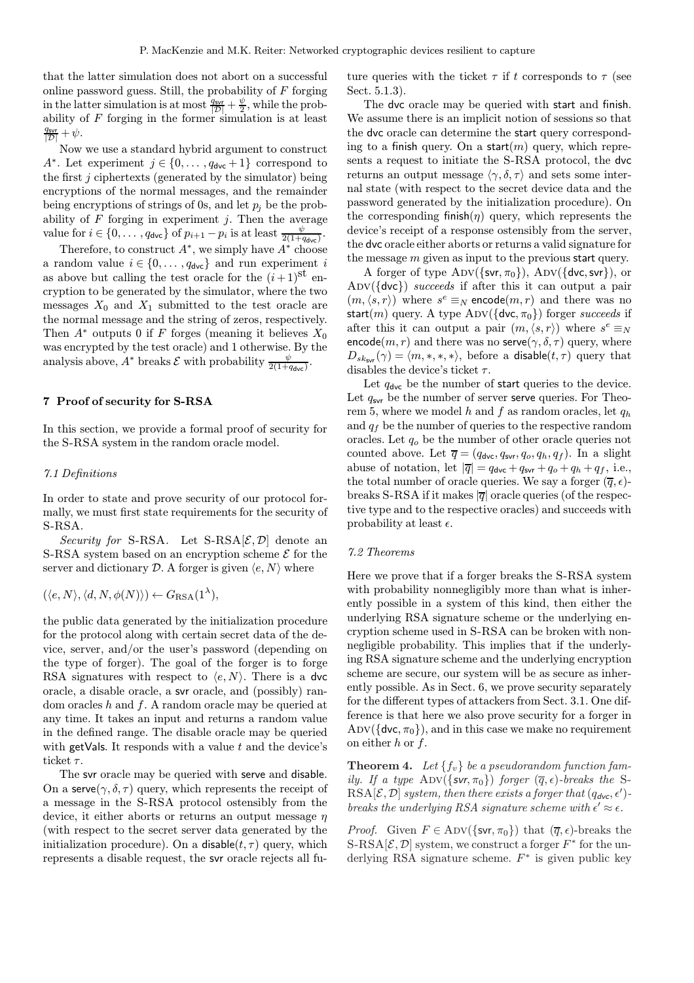that the latter simulation does not abort on a successful online password guess. Still, the probability of  $F$  forging in the latter simulation is at most  $\frac{q_{\mathsf{svr}}}{|D|} + \frac{\psi}{2}$ , while the probability of  $F$  forging in the former simulation is at least  $\frac{q_{\mathsf{svr}}}{|\mathcal{D}|} + \psi.$ 

Now we use a standard hybrid argument to construct A<sup>∗</sup>. Let experiment  $j \in \{0, \ldots, q_{\text{dvc}}+1\}$  correspond to the first  $j$  ciphertexts (generated by the simulator) being encryptions of the normal messages, and the remainder being encryptions of strings of 0s, and let  $p_i$  be the probability of  $F$  forging in experiment  $j$ . Then the average value for  $i \in \{0, \ldots, q_{\text{dvc}}\}$  of  $p_{i+1} - p_i$  is at least  $\frac{\psi}{2(1+q_{\text{dvc}})}$ .

Therefore, to construct  $A^*$ , we simply have  $A^*$  choose a random value  $i \in \{0, \ldots, q_{\text{dvc}}\}$  and run experiment i as above but calling the test oracle for the  $(i+1)$ <sup>st</sup> encryption to be generated by the simulator, where the two messages  $X_0$  and  $X_1$  submitted to the test oracle are the normal message and the string of zeros, respectively. Then  $A^*$  outputs 0 if F forges (meaning it believes  $X_0$ was encrypted by the test oracle) and 1 otherwise. By the analysis above,  $A^*$  breaks  $\mathcal E$  with probability  $\frac{\psi}{2(1+q_{\text{dvc}})}$ .

## 7 Proof of security for S-RSA

In this section, we provide a formal proof of security for the S-RSA system in the random oracle model.

#### 7.1 Definitions

In order to state and prove security of our protocol formally, we must first state requirements for the security of S-RSA.

Security for S-RSA. Let  $S-RSA[\mathcal{E}, \mathcal{D}]$  denote an S-RSA system based on an encryption scheme  $\mathcal E$  for the server and dictionary D. A forger is given  $\langle e, N \rangle$  where

$$
(\langle e, N \rangle, \langle d, N, \phi(N) \rangle) \leftarrow G_{\text{RSA}}(1^{\lambda}),
$$

the public data generated by the initialization procedure for the protocol along with certain secret data of the device, server, and/or the user's password (depending on the type of forger). The goal of the forger is to forge RSA signatures with respect to  $\langle e, N \rangle$ . There is a dvc oracle, a disable oracle, a svr oracle, and (possibly) random oracles  $h$  and  $f$ . A random oracle may be queried at any time. It takes an input and returns a random value in the defined range. The disable oracle may be queried with getVals. It responds with a value  $t$  and the device's ticket  $\tau$ .

The svr oracle may be queried with serve and disable. On a serve $(\gamma, \delta, \tau)$  query, which represents the receipt of a message in the S-RSA protocol ostensibly from the device, it either aborts or returns an output message  $\eta$ (with respect to the secret server data generated by the initialization procedure). On a disable $(t, \tau)$  query, which represents a disable request, the svr oracle rejects all future queries with the ticket  $\tau$  if t corresponds to  $\tau$  (see Sect. 5.1.3).

The dvc oracle may be queried with start and finish. We assume there is an implicit notion of sessions so that the dvc oracle can determine the start query corresponding to a finish query. On a start $(m)$  query, which represents a request to initiate the S-RSA protocol, the dvc returns an output message  $\langle \gamma, \delta, \tau \rangle$  and sets some internal state (with respect to the secret device data and the password generated by the initialization procedure). On the corresponding finish $(\eta)$  query, which represents the device's receipt of a response ostensibly from the server, the dvc oracle either aborts or returns a valid signature for the message  $m$  given as input to the previous start query.

A forger of type  $\text{ADV}(\{\textsf{svr}, \pi_0\})$ ,  $\text{ADV}(\{\textsf{dvc}, \textsf{svr}\})$ , or  $\text{ADV}({\text{dvc}})$  succeeds if after this it can output a pair  $(m,\langle s, r \rangle)$  where  $s^e \equiv_N \text{encode}(m, r)$  and there was no start(m) query. A type ADV({dvc,  $\pi_0$ }) forger succeeds if after this it can output a pair  $(m,\langle s, r \rangle)$  where  $s^e \equiv_N$ encode(m, r) and there was no serve( $\gamma$ ,  $\delta$ ,  $\tau$ ) query, where  $D_{sk_{\text{svr}}}(\gamma) = \langle m, *, *, * \rangle$ , before a disable $(t, \tau)$  query that disables the device's ticket  $\tau$ .

Let  $q_{\text{dvc}}$  be the number of start queries to the device. Let  $q_{\text{svr}}$  be the number of server serve queries. For Theorem 5, where we model h and f as random oracles, let  $q_h$ and  $q_f$  be the number of queries to the respective random oracles. Let  $q_o$  be the number of other oracle queries not counted above. Let  $\overline{q} = (q_{\text{dyc}}, q_{\text{svr}}, q_o, q_h, q_f)$ . In a slight abuse of notation, let  $|\overline{q}| = q_{\text{dyc}} + q_{\text{svr}} + q_o + q_h + q_f$ , i.e., the total number of oracle queries. We say a forger  $(\overline{q}, \epsilon)$ breaks S-RSA if it makes  $|\overline{q}|$  oracle queries (of the respective type and to the respective oracles) and succeeds with probability at least  $\epsilon$ .

#### 7.2 Theorems

Here we prove that if a forger breaks the S-RSA system with probability nonnegligibly more than what is inherently possible in a system of this kind, then either the underlying RSA signature scheme or the underlying encryption scheme used in S-RSA can be broken with nonnegligible probability. This implies that if the underlying RSA signature scheme and the underlying encryption scheme are secure, our system will be as secure as inherently possible. As in Sect. 6, we prove security separately for the different types of attackers from Sect. 3.1. One difference is that here we also prove security for a forger in  $\text{ADV}(\{\text{dvc}, \pi_0\})$ , and in this case we make no requirement on either  $h$  or  $f$ .

**Theorem 4.** Let  $\{f_v\}$  be a pseudorandom function family. If a type ADV({svr,  $\pi_0$ }) forger ( $\overline{q}, \epsilon$ )-breaks the S- $\text{RSA}[\mathcal{E}, \mathcal{D}]$  system, then there exists a forger that  $(q_{\mathsf{dvc}}, \epsilon')$ breaks the underlying RSA signature scheme with  $\epsilon' \approx \epsilon$ .

*Proof.* Given  $F \in \text{ADV}(\{\textsf{svr}, \pi_0\})$  that  $(\overline{q}, \epsilon)$ -breaks the  $S-RSA[\mathcal{E}, \mathcal{D}]$  system, we construct a forger  $F^*$  for the underlying RSA signature scheme.  $F^*$  is given public key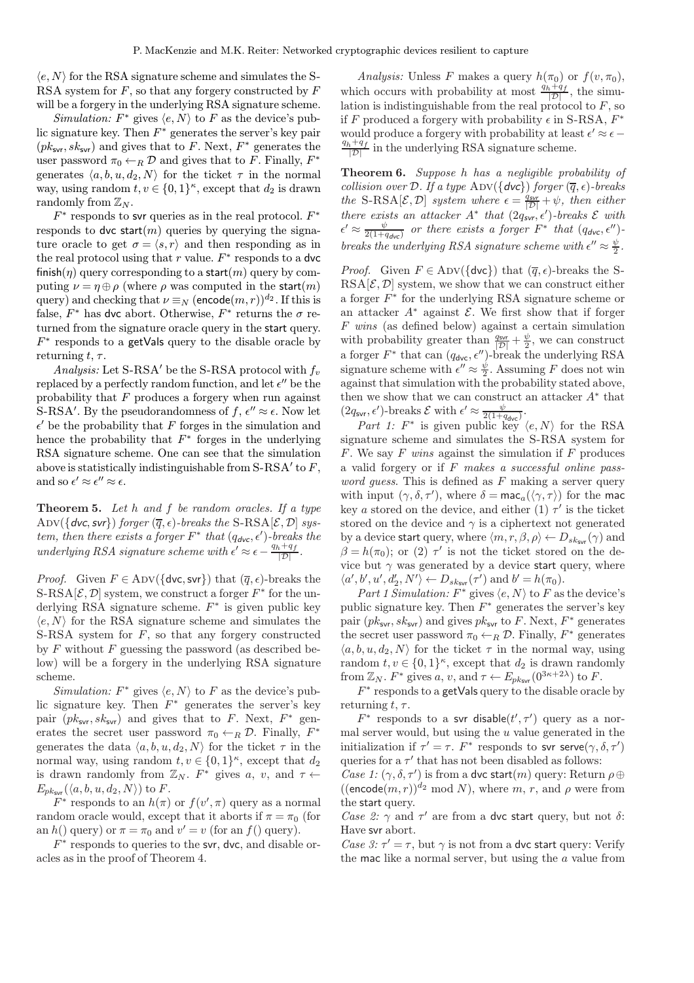$\langle e, N \rangle$  for the RSA signature scheme and simulates the S-RSA system for  $F$ , so that any forgery constructed by  $F$ will be a forgery in the underlying RSA signature scheme.

Simulation:  $F^*$  gives  $\langle e, N \rangle$  to F as the device's public signature key. Then  $F^*$  generates the server's key pair  $(pk_{\text{svr}}, sk_{\text{svr}})$  and gives that to F. Next,  $F^*$  generates the user password  $\pi_0 \leftarrow_R \mathcal{D}$  and gives that to F. Finally,  $F^*$ generates  $\langle a, b, u, d_2, N \rangle$  for the ticket  $\tau$  in the normal way, using random  $t, v \in \{0, 1\}^{\kappa}$ , except that  $d_2$  is drawn randomly from  $\mathbb{Z}_N$ .

 $F^*$  responds to svr queries as in the real protocol.  $F^*$ responds to dvc start $(m)$  queries by querying the signature oracle to get  $\sigma = \langle s, r \rangle$  and then responding as in the real protocol using that r value.  $F^*$  responds to a dvc finish( $\eta$ ) query corresponding to a start( $m$ ) query by computing  $\nu = \eta \oplus \rho$  (where  $\rho$  was computed in the start $(m)$ ) query) and checking that  $\nu \equiv_N (\text{encode}(m, r))^{d_2}$ . If this is false,  $F^*$  has dvc abort. Otherwise,  $F^*$  returns the  $\sigma$  returned from the signature oracle query in the start query.  $F^*$  responds to a getVals query to the disable oracle by returning  $t, \tau$ .

*Analysis:* Let S-RSA' be the S-RSA protocol with  $f_v$ replaced by a perfectly random function, and let  $\epsilon''$  be the probability that  $F$  produces a forgery when run against S-RSA'. By the pseudorandomness of  $f, \epsilon'' \approx \epsilon$ . Now let  $\epsilon'$  be the probability that F forges in the simulation and hence the probability that  $F^*$  forges in the underlying RSA signature scheme. One can see that the simulation above is statistically indistinguishable from  $S-RSA'$  to  $F$ , and so  $\epsilon' \approx \epsilon'' \approx \epsilon$ .

**Theorem 5.** Let  $h$  and  $f$  be random oracles. If a type ADV({ $dvc, svr$ }) forger ( $\overline{q}, \epsilon$ )-breaks the S-RSA[ $\mathcal{E}, \mathcal{D}$ ] system, then there exists a forger  $F^*$  that  $(q_{\text{dvc}}, \epsilon')$ -breaks the underlying RSA signature scheme with  $\epsilon' \approx \epsilon - \frac{q_h + q_f}{|\mathcal{D}|}$ .

*Proof.* Given  $F \in \text{ADV}({\text{dvc}, \text{svr}})$  that  $(\overline{q}, \epsilon)$ -breaks the S-RSA $[\mathcal{E}, \mathcal{D}]$  system, we construct a forger  $F^*$  for the underlying RSA signature scheme.  $F^*$  is given public key  $\langle e, N \rangle$  for the RSA signature scheme and simulates the S-RSA system for  $F$ , so that any forgery constructed by  $F$  without  $F$  guessing the password (as described below) will be a forgery in the underlying RSA signature scheme.

Simulation:  $F^*$  gives  $\langle e, N \rangle$  to F as the device's public signature key. Then  $F^*$  generates the server's key pair  $(pk_{\text{svr}}, sk_{\text{svr}})$  and gives that to F. Next,  $F^*$  generates the secret user password  $\pi_0 \leftarrow_R \mathcal{D}$ . Finally,  $F^*$ generates the data  $\langle a, b, u, d_2, N \rangle$  for the ticket  $\tau$  in the normal way, using random  $t, v \in \{0, 1\}^{\kappa}$ , except that  $d_2$ is drawn randomly from  $\mathbb{Z}_N$ .  $F^*$  gives a, v, and  $\tau \leftarrow$  $E_{p\&\text{ov}}(\langle a, b, u, d_2, N \rangle)$  to F.

 $F^*$  responds to an  $h(\pi)$  or  $f(v', \pi)$  query as a normal random oracle would, except that it aborts if  $\pi = \pi_0$  (for an h() query) or  $\pi = \pi_0$  and  $v' = v$  (for an f() query).

 $F^*$  responds to queries to the svr, dvc, and disable oracles as in the proof of Theorem 4.

Analysis: Unless F makes a query  $h(\pi_0)$  or  $f(v, \pi_0)$ , which occurs with probability at most  $\frac{\dot{q}_h + \dot{q}_f}{|\mathcal{D}|}$ , the simulation is indistinguishable from the real protocol to  $F$ , so if F produced a forgery with probability  $\epsilon$  in S-RSA,  $F^*$ would produce a forgery with probability at least  $\epsilon' \approx \epsilon \frac{q_h+q_f}{|D|}$  in the underlying RSA signature scheme.

Theorem 6. Suppose h has a negligible probability of collision over D. If a type ADV( $\{dvc\}$ ) forger  $(\overline{q}, \epsilon)$ -breaks the S-RSA $[\mathcal{E}, \mathcal{D}]$  system where  $\epsilon = \frac{q_{\text{svr}}}{|\mathcal{D}|} + \psi$ , then either there exists an attacker  $A^*$  that  $(2q_{\text{svr}}^*, \epsilon')$ -breaks  $\mathcal E$  with  $\epsilon' \approx \frac{\psi}{2(1+q_{\text{dyc}})}$  or there exists a forger  $F^*$  that  $(q_{\text{dyc}}, \epsilon'')$ . breaks the underlying RSA signature scheme with  $\epsilon'' \approx \frac{\psi}{2}$ .

*Proof.* Given  $F \in \text{ADV}(\{\text{dvc}\})$  that  $(\overline{q}, \epsilon)$ -breaks the S- $RSA[\mathcal{E}, \mathcal{D}]$  system, we show that we can construct either a forger F<sup>∗</sup> for the underlying RSA signature scheme or an attacker  $A^*$  against  $\mathcal E$ . We first show that if forger F wins (as defined below) against a certain simulation with probability greater than  $\frac{q_{\mathsf{svr}}}{|\mathcal{D}|} + \frac{\psi}{2}$ , we can construct a forger  $F^*$  that can  $(q_{\text{dvc}}, \epsilon'')$ -break the underlying RSA signature scheme with  $\epsilon'' \approx \frac{\psi}{2}$ . Assuming F does not win against that simulation with the probability stated above, then we show that we can construct an attacker  $A^*$  that  $(2q_{\mathsf{svr}}, \epsilon')$ -breaks  $\mathcal E$  with  $\epsilon' \approx \frac{\psi}{2(1+q_{\mathsf{dvc}})}$ .

Part 1:  $F^*$  is given public key  $\langle e, N \rangle$  for the RSA signature scheme and simulates the S-RSA system for  $F$ . We say  $F$  wins against the simulation if  $F$  produces a valid forgery or if F makes a successful online pass*word quess.* This is defined as  $F$  making a server query with input  $(\gamma, \delta, \tau')$ , where  $\delta = \max_{a} (\langle \gamma, \tau \rangle)$  for the mac key a stored on the device, and either (1)  $\tau'$  is the ticket stored on the device and  $\gamma$  is a ciphertext not generated by a device start query, where  $\langle m, r, \beta, \rho \rangle \leftarrow D_{sk_{\text{sur}}}(\gamma)$  and  $\beta = h(\pi_0)$ ; or (2)  $\tau'$  is not the ticket stored on the device but  $\gamma$  was generated by a device start query, where  $\langle a', b', u', d'_2, N' \rangle \leftarrow D_{sk_{\mathsf{svr}}}(\tau')$  and  $b' = h(\pi_0)$ .

Part 1 Simulation:  $F^*$  gives  $\langle e, N \rangle$  to F as the device's public signature key. Then  $F^*$  generates the server's key pair  $(pk_{\text{svr}}, sk_{\text{svr}})$  and gives  $pk_{\text{svr}}$  to F. Next,  $F^*$  generates the secret user password  $\pi_0 \leftarrow_R \mathcal{D}$ . Finally,  $F^*$  generates  $\langle a, b, u, d_2, N \rangle$  for the ticket  $\tau$  in the normal way, using random  $t, v \in \{0, 1\}^{\kappa}$ , except that  $d_2$  is drawn randomly from  $\mathbb{Z}_N$ .  $F^*$  gives a, v, and  $\tau \leftarrow E_{pk_{\text{svr}}}(0^{3\kappa+2\lambda})$  to F.

 $F^*$  responds to a getVals query to the disable oracle by returning  $t, \tau$ .

 $F^*$  responds to a svr disable $(t', \tau')$  query as a normal server would, but using the  $u$  value generated in the initialization if  $\tau' = \tau$ .  $F^*$  responds to svr serve $(\gamma, \delta, \tau')$ queries for a  $\tau'$  that has not been disabled as follows:

*Case 1:*  $(\gamma, \delta, \tau')$  is from a dvc start $(m)$  query: Return  $\rho \oplus$  $((\text{encode}(m, r))^{d_2} \text{ mod } N)$ , where m, r, and  $\rho$  were from the start query.

*Case 2:*  $\gamma$  and  $\tau'$  are from a dvc start query, but not  $\delta$ : Have svr abort.

Case 3:  $\tau' = \tau$ , but  $\gamma$  is not from a dvc start query: Verify the mac like a normal server, but using the  $a$  value from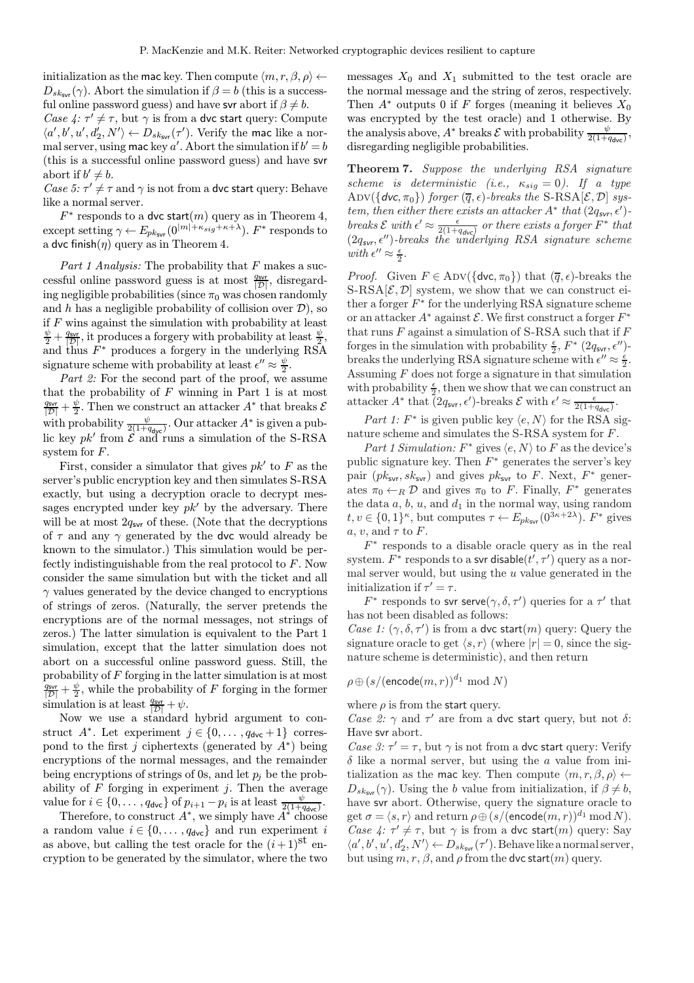initialization as the mac key. Then compute  $\langle m, r, \beta, \rho \rangle \leftarrow$  $D_{sk_{\mathsf{sw}}}(\gamma)$ . Abort the simulation if  $\beta = b$  (this is a successful online password guess) and have svr abort if  $\beta \neq b$ .

*Case 4:*  $\tau' \neq \tau$ , but  $\gamma$  is from a dvc start query: Compute  $\langle a', b', u', d'_2, N' \rangle \leftarrow D_{sk_{\text{svr}}}(\tau')$ . Verify the mac like a normal server, using mac key  $a'$ . Abort the simulation if  $b' = b$ (this is a successful online password guess) and have svr abort if  $b' \neq b$ .

Case 5:  $\tau' \neq \tau$  and  $\gamma$  is not from a dvc start query: Behave like a normal server.

 $F^*$  responds to a dvc start $(m)$  query as in Theorem 4, except setting  $\gamma \leftarrow E_{pk_{\text{svr}}}(0^{|m|+\kappa_{sig}+\kappa+\lambda})$ .  $F^*$  responds to a dvc finish $(\eta)$  query as in Theorem 4.

Part 1 Analysis: The probability that  $F$  makes a successful online password guess is at most  $\frac{q_{\mathsf{svr}}}{|D|}$ , disregarding negligible probabilities (since  $\pi_0$  was chosen randomly and h has a negligible probability of collision over  $\mathcal{D}$ ), so if F wins against the simulation with probability at least  $\frac{\psi}{2} + \frac{q_{\text{svr}}}{|D|}$ , it produces a forgery with probability at least  $\frac{\psi}{2}$ , and thus  $F^*$  produces a forgery in the underlying RSA signature scheme with probability at least  $\epsilon'' \approx \frac{\psi}{2}$ .

Part 2: For the second part of the proof, we assume that the probability of  $F$  winning in Part 1 is at most  $\frac{q_{\mathsf{svr}}}{|D|} + \frac{\psi}{2}$ . Then we construct an attacker  $A^*$  that breaks  $\mathcal{E}$ with probability  $\frac{\psi}{2(1+q_{\text{dyc}})}$ . Our attacker  $A^*$  is given a public key  $pk'$  from  $\mathcal{E}$  and runs a simulation of the S-RSA system for F.

First, consider a simulator that gives  $pk'$  to F as the server's public encryption key and then simulates S-RSA exactly, but using a decryption oracle to decrypt messages encrypted under key  $pk'$  by the adversary. There will be at most  $2q_{\mathsf{svr}}$  of these. (Note that the decryptions of  $\tau$  and any  $\gamma$  generated by the dvc would already be known to the simulator.) This simulation would be perfectly indistinguishable from the real protocol to F. Now consider the same simulation but with the ticket and all  $\gamma$  values generated by the device changed to encryptions of strings of zeros. (Naturally, the server pretends the encryptions are of the normal messages, not strings of zeros.) The latter simulation is equivalent to the Part 1 simulation, except that the latter simulation does not abort on a successful online password guess. Still, the probability of  $F$  forging in the latter simulation is at most  $\frac{q_{\text{svr}}}{|D|} + \frac{\psi}{2}$ , while the probability of F forging in the former simulation is at least  $\frac{q_{\text{svr}}}{|D|} + \psi$ .

Now we use a standard hybrid argument to construct  $A^*$ . Let experiment  $j \in \{0, \ldots, q_{\text{dvc}} + 1\}$  correspond to the first j ciphertexts (generated by  $A^*$ ) being encryptions of the normal messages, and the remainder being encryptions of strings of 0s, and let  $p_i$  be the probability of  $F$  forging in experiment  $j$ . Then the average value for  $i \in \{0, \ldots, q_{\text{dvc}}\}$  of  $p_{i+1} - p_i$  is at least  $\frac{\psi}{2(1+q_{\text{dvc}})}$ .

Therefore, to construct  $A^*$ , we simply have  $\overline{A^*}$  choose a random value  $i \in \{0, \ldots, q_{\text{dvc}}\}$  and run experiment i as above, but calling the test oracle for the  $(i+1)$ <sup>st</sup> encryption to be generated by the simulator, where the two messages  $X_0$  and  $X_1$  submitted to the test oracle are the normal message and the string of zeros, respectively. Then  $A^*$  outputs 0 if F forges (meaning it believes  $X_0$ was encrypted by the test oracle) and 1 otherwise. By the analysis above,  $A^*$  breaks  $\mathcal E$  with probability  $\frac{\psi}{2(1+q_{\text{dyc}})}$ , disregarding negligible probabilities.

Theorem 7. Suppose the underlying RSA signature scheme is deterministic (i.e.,  $\kappa_{sig} = 0$ ). If a type ADV( $\{dv\mathbf{c}, \pi_0\}$ ) forger  $(\overline{q}, \epsilon)$ -breaks the S-RSA[ $\mathcal{E}, \mathcal{D}$ ] system, then either there exists an attacker  $A^*$  that  $(2q_{\text{svr}}, \epsilon')$ breaks  $\mathcal E$  with  $\epsilon' \approx \frac{\epsilon}{2(1+q_{\text{dyc}})}$  or there exists a forger  $F^*$  that  $(2q<sub>svr</sub>, \epsilon'')$ -breaks the underlying RSA signature scheme with  $\epsilon^{\prime\prime}\approx\frac{\epsilon}{2}$ .

*Proof.* Given  $F \in \text{ADV}({\text{dvc}, \pi_0})$  that  $(\overline{q}, \epsilon)$ -breaks the  $S-RSA[\mathcal{E}, \mathcal{D}]$  system, we show that we can construct either a forger  $F^*$  for the underlying RSA signature scheme or an attacker  $A^*$  against  $\mathcal E$ . We first construct a forger  $F^*$ that runs  $F$  against a simulation of S-RSA such that if  $F$ forges in the simulation with probability  $\frac{\epsilon}{2}$ ,  $F^*$  (2 $q_{\mathsf{svr}}, \epsilon'$ )breaks the underlying RSA signature scheme with  $\epsilon'' \approx \frac{\epsilon}{2}$ . Assuming  $F$  does not forge a signature in that simulation with probability  $\frac{\epsilon}{2}$ , then we show that we can construct an attacker  $A^*$  that  $(2q_{\mathsf{svr}}, \epsilon')$ -breaks  $\mathcal E$  with  $\epsilon' \approx \frac{\epsilon}{2(1+q_{\mathsf{dvc}})}$ .

Part 1:  $F^*$  is given public key  $\langle e, N \rangle$  for the RSA signature scheme and simulates the S-RSA system for F.

Part 1 Simulation:  $F^*$  gives  $\langle e, N \rangle$  to F as the device's public signature key. Then  $F^*$  generates the server's key pair  $(pk_{\text{svr}}, sk_{\text{svr}})$  and gives  $pk_{\text{svr}}$  to F. Next,  $F^*$  generates  $\pi_0 \leftarrow_R \mathcal{D}$  and gives  $\pi_0$  to F. Finally,  $F^*$  generates the data  $a, b, u$ , and  $d_1$  in the normal way, using random  $t, v \in \{0,1\}^{\kappa}$ , but computes  $\tau \leftarrow E_{pk_{\text{svr}}}(\theta^{3\kappa+2\lambda})$ .  $F^*$  gives  $a, v,$  and  $\tau$  to  $F$ .

 $F^*$  responds to a disable oracle query as in the real system.  $F^*$  responds to a svr disable $(t', \tau')$  query as a normal server would, but using the  $u$  value generated in the initialization if  $\tau' = \tau$ .

 $F^*$  responds to svr serve $(\gamma, \delta, \tau')$  queries for a  $\tau'$  that has not been disabled as follows:

Case 1:  $(\gamma, \delta, \tau')$  is from a dvc start $(m)$  query: Query the signature oracle to get  $\langle s, r \rangle$  (where  $|r| = 0$ , since the signature scheme is deterministic), and then return

$$
\rho \oplus (s/(\text{encode}(m,r))^{d_1} \text{ mod } N)
$$

where  $\rho$  is from the start query.

*Case 2:*  $\gamma$  and  $\tau'$  are from a dvc start query, but not  $\delta$ : Have svr abort.

*Case 3:*  $\tau' = \tau$ , but  $\gamma$  is not from a dvc start query: Verify  $\delta$  like a normal server, but using the a value from initialization as the mac key. Then compute  $\langle m, r, \beta, \rho \rangle \leftarrow$  $D_{skew}(\gamma)$ . Using the b value from initialization, if  $\beta \neq b$ , have svr abort. Otherwise, query the signature oracle to get  $\sigma = \langle s, r \rangle$  and return  $\rho \oplus (s/(\text{encode}(m, r))^{d_1} \text{ mod } N)$ . Case  $\xi: \tau' \neq \tau$ , but  $\gamma$  is from a dvc start $(m)$  query: Say  $\langle a', b', u', d'_2, N' \rangle \leftarrow D_{sk_{\mathsf{svr}}}(\tau').$  Behave like a normal server, but using  $m, r, \beta$ , and  $\rho$  from the dvc start $(m)$  query.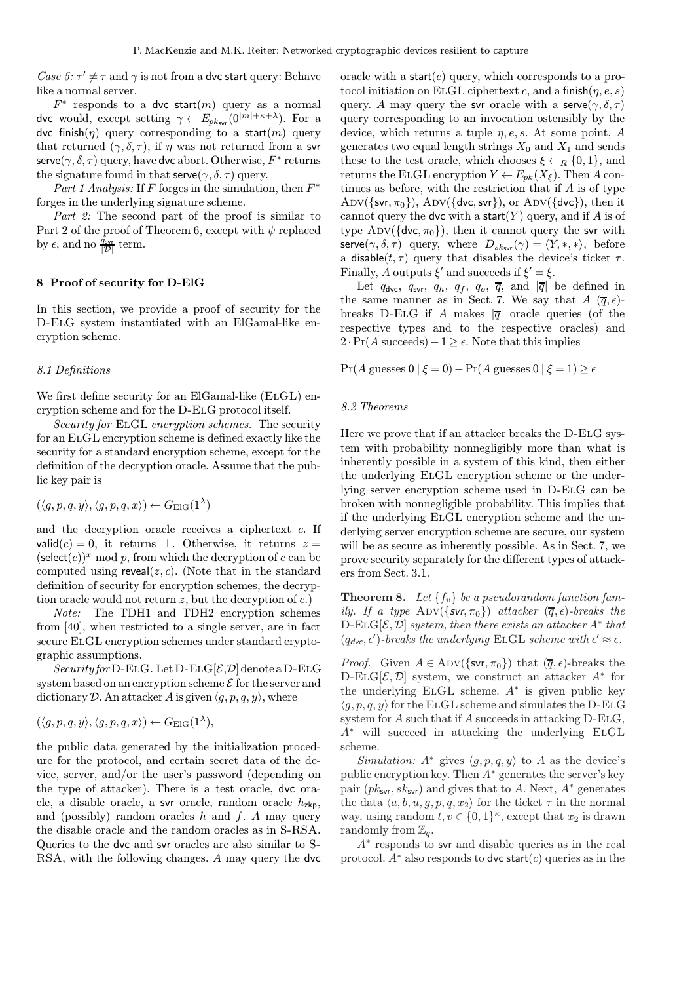Case 5:  $\tau' \neq \tau$  and  $\gamma$  is not from a dvc start query: Behave like a normal server.

 $F^*$  responds to a dvc start $(m)$  query as a normal dvc would, except setting  $\gamma \leftarrow E_{pk_{\text{svr}}}(0^{|m|+\kappa+\lambda})$ . For a dvc finish $(\eta)$  query corresponding to a start $(m)$  query that returned  $(\gamma, \delta, \tau)$ , if  $\eta$  was not returned from a svr serve( $\gamma$ ,  $\delta$ ,  $\tau$ ) query, have dvc abort. Otherwise,  $F^*$  returns the signature found in that  $\mathsf{serve}(\gamma, \delta, \tau)$  query.

Part 1 Analysis: If F forges in the simulation, then  $F^*$ forges in the underlying signature scheme.

Part 2: The second part of the proof is similar to Part 2 of the proof of Theorem 6, except with  $\psi$  replaced by  $\epsilon$ , and no  $\frac{q_{\text{svr}}}{|D|}$  term.

## 8 Proof of security for D-ElG

In this section, we provide a proof of security for the D-ElG system instantiated with an ElGamal-like encryption scheme.

## 8.1 Definitions

We first define security for an ElGamal-like (ELGL) encryption scheme and for the D-ElG protocol itself.

Security for ELGL encryption schemes. The security for an ElGL encryption scheme is defined exactly like the security for a standard encryption scheme, except for the definition of the decryption oracle. Assume that the public key pair is

$$
(\langle g, p, q, y \rangle, \langle g, p, q, x \rangle) \leftarrow G_{\text{EIG}}(1^{\lambda})
$$

and the decryption oracle receives a ciphertext c. If valid $(c) = 0$ , it returns ⊥. Otherwise, it returns  $z =$  $(\text{select}(c))^x$  mod p, from which the decryption of c can be computed using reveal $(z, c)$ . (Note that in the standard definition of security for encryption schemes, the decryption oracle would not return  $z$ , but the decryption of  $c$ .)

Note: The TDH1 and TDH2 encryption schemes from [40], when restricted to a single server, are in fact secure ELGL encryption schemes under standard cryptographic assumptions.

 $Security for D-ELG.$  Let  $D-ELG[\mathcal{E}, \mathcal{D}]$  denote a  $D-ELG$ system based on an encryption scheme  $\mathcal E$  for the server and dictionary D. An attacker A is given  $\langle g, p, q, y \rangle$ , where

$$
(\langle g, p, q, y \rangle, \langle g, p, q, x \rangle) \leftarrow G_{\text{EIG}}(1^{\lambda}),
$$

the public data generated by the initialization procedure for the protocol, and certain secret data of the device, server, and/or the user's password (depending on the type of attacker). There is a test oracle, dvc oracle, a disable oracle, a svr oracle, random oracle  $h_{\mathsf{zko}}$ , and (possibly) random oracles  $h$  and  $f$ . A may query the disable oracle and the random oracles as in S-RSA. Queries to the dvc and svr oracles are also similar to S-RSA, with the following changes. A may query the dvc oracle with a start $(c)$  query, which corresponds to a protocol initiation on ELGL ciphertext c, and a finish $(\eta, e, s)$ query. A may query the svr oracle with a serve( $\gamma$ ,  $\delta$ ,  $\tau$ ) query corresponding to an invocation ostensibly by the device, which returns a tuple  $\eta$ , e, s. At some point, A generates two equal length strings  $X_0$  and  $X_1$  and sends these to the test oracle, which chooses  $\xi \leftarrow_R \{0,1\}$ , and returns the ELGL encryption  $Y \leftarrow E_{pk}(X_{\xi})$ . Then A continues as before, with the restriction that if  $A$  is of type ADV( $\{$ svr,  $\pi_0\}$ ), ADV( $\{$ dvc, svr $\}$ ), or ADV( $\{$ dvc $\}$ ), then it cannot query the dvc with a start $(Y)$  query, and if A is of type ADV( $\{dvc, \pi_0\}$ ), then it cannot query the svr with serve $(\gamma, \delta, \tau)$  query, where  $D_{sk_{\text{svr}}}(\gamma) = \langle Y, \ast, \ast \rangle$ , before a disable( $t, \tau$ ) query that disables the device's ticket  $\tau$ . Finally, A outputs  $\xi'$  and succeeds if  $\xi' = \xi$ .

Let  $q_{\text{dvc}}$ ,  $q_{\text{svr}}$ ,  $q_h$ ,  $q_f$ ,  $q_o$ ,  $\overline{q}$ , and  $|\overline{q}|$  be defined in the same manner as in Sect. 7. We say that  $A(\overline{q}, \epsilon)$ breaks D-ELG if A makes  $|\overline{q}|$  oracle queries (of the respective types and to the respective oracles) and  $2 \cdot Pr(A \text{ succeeds}) - 1 \geq \epsilon$ . Note that this implies

 $Pr(A \text{ guesses } 0 \mid \xi = 0) - Pr(A \text{ guesses } 0 \mid \xi = 1) \geq \epsilon$ 

## 8.2 Theorems

Here we prove that if an attacker breaks the D-ElG system with probability nonnegligibly more than what is inherently possible in a system of this kind, then either the underlying ElGL encryption scheme or the underlying server encryption scheme used in D-ElG can be broken with nonnegligible probability. This implies that if the underlying ElGL encryption scheme and the underlying server encryption scheme are secure, our system will be as secure as inherently possible. As in Sect. 7, we prove security separately for the different types of attackers from Sect. 3.1.

**Theorem 8.** Let  $\{f_v\}$  be a pseudorandom function family. If a type  $\text{ADV}({\text{svr}}, \pi_0)$  attacker  $(\overline{q}, \epsilon)$ -breaks the D-ELG $[\mathcal{E}, \mathcal{D}]$  system, then there exists an attacker  $A^*$  that  $(q_{\text{dvc}}, \epsilon')$ -breaks the underlying ELGL scheme with  $\epsilon' \approx \epsilon$ .

*Proof.* Given  $A \in \text{ADV}(\{\textsf{svr}, \pi_0\})$  that  $(\overline{q}, \epsilon)$ -breaks the D-ELG $[\mathcal{E}, \mathcal{D}]$  system, we construct an attacker  $A^*$  for the underlying ELGL scheme.  $A^*$  is given public key  $\langle g, p, q, y \rangle$  for the ELGL scheme and simulates the D-ELG system for  $A$  such that if  $A$  succeeds in attacking  $D$ -ELG, A<sup>∗</sup> will succeed in attacking the underlying ElGL scheme.

Simulation:  $A^*$  gives  $\langle g, p, q, y \rangle$  to A as the device's public encryption key. Then  $A^*$  generates the server's key pair  $(pk_{\text{svr}}, sk_{\text{svr}})$  and gives that to A. Next,  $A^*$  generates the data  $\langle a, b, u, g, p, q, x_2 \rangle$  for the ticket  $\tau$  in the normal way, using random  $t, v \in \{0, 1\}^{\kappa}$ , except that  $x_2$  is drawn randomly from  $\mathbb{Z}_q$ .

 $A^*$  responds to svr and disable queries as in the real protocol.  $A^*$  also responds to dvc start(c) queries as in the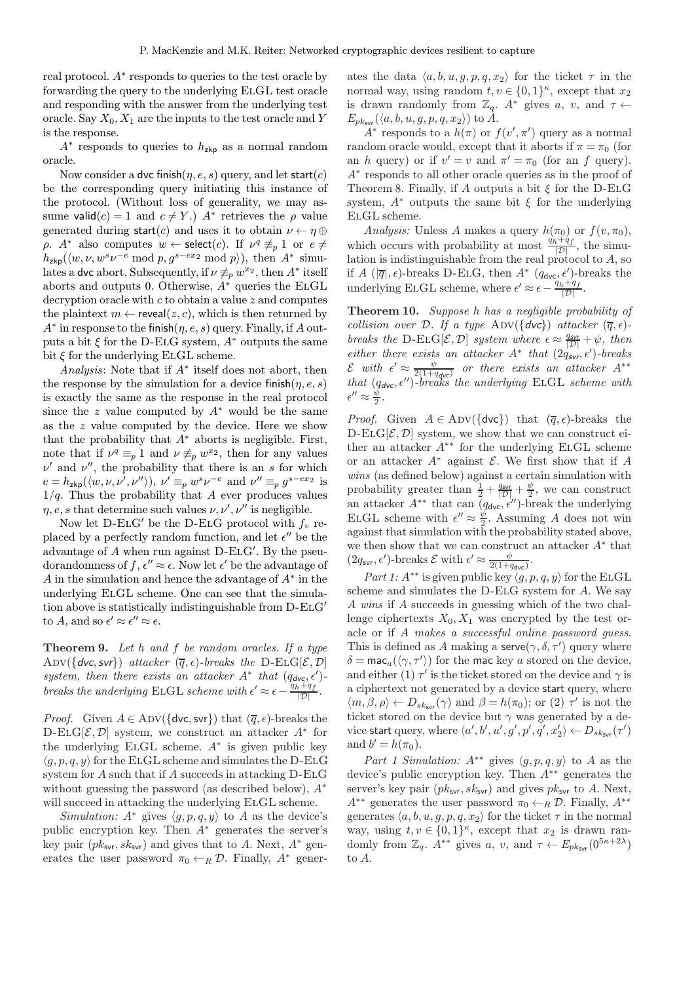real protocol.  $A^*$  responds to queries to the test oracle by forwarding the query to the underlying ElGL test oracle and responding with the answer from the underlying test oracle. Say  $X_0, X_1$  are the inputs to the test oracle and Y is the response.

 $A^*$  responds to queries to  $h_{\mathsf{zkp}}$  as a normal random oracle.

Now consider a dvc finish $(\eta, e, s)$  query, and let start $(c)$ be the corresponding query initiating this instance of the protocol. (Without loss of generality, we may assume valid $(c) = 1$  and  $c \neq Y$ .)  $A^*$  retrieves the  $\rho$  value generated during start(c) and uses it to obtain  $\nu \leftarrow \eta \oplus$  $ρ. A<sup>*</sup>$  also computes  $w \leftarrow$  select(*c*). If  $ν<sup>q</sup> \not\equiv_p 1$  or  $e \not\equiv$  $h_{\mathsf{zkb}}(\langle w,\nu,w^s\nu^{-e}\bmod p,g^{s-ex_2}\bmod p\rangle),$  then  $A^*$  simulates a dvc abort. Subsequently, if  $\nu \not\equiv_p w^{x_2}$ , then  $A^*$  itself aborts and outputs 0. Otherwise,  $A^*$  queries the ELGL decryption oracle with  $c$  to obtain a value  $z$  and computes the plaintext  $m \leftarrow \text{reveal}(z, c)$ , which is then returned by  $A^*$  in response to the finish $(\eta, e, s)$  query. Finally, if A outputs a bit  $\xi$  for the D-ELG system,  $A^*$  outputs the same bit  $\xi$  for the underlying ELGL scheme.

Analysis: Note that if  $A^*$  itself does not abort, then the response by the simulation for a device finish $(\eta, e, s)$ is exactly the same as the response in the real protocol since the z value computed by  $A^*$  would be the same as the z value computed by the device. Here we show that the probability that  $A^*$  aborts is negligible. First, note that if  $\nu^q \equiv_p 1$  and  $\nu \not\equiv_p w^{x_2}$ , then for any values  $\nu'$  and  $\nu''$ , the probability that there is an s for which  $e = h_{\mathsf{zkp}}(\langle w, \nu, \nu', \nu'' \rangle), \ \nu' \equiv_p w^s \nu^{-e} \text{ and } \nu'' \equiv_p g^{s-ex_2} \text{ is}$  $1/q$ . Thus the probability that A ever produces values  $\eta, e, s$  that determine such values  $\nu, \nu', \nu''$  is negligible.

Now let D-ELG' be the D-ELG protocol with  $f_v$  replaced by a perfectly random function, and let  $\epsilon''$  be the advantage of A when run against D-ELG'. By the pseudorandomness of  $f, \epsilon'' \approx \epsilon$ . Now let  $\epsilon'$  be the advantage of A in the simulation and hence the advantage of  $A^*$  in the underlying ElGL scheme. One can see that the simulation above is statistically indistinguishable from D-ElG to A, and so  $\epsilon' \approx \epsilon'' \approx \epsilon$ .

Theorem 9. Let h and f be random oracles. If a type ADV({dvc, svr}) attacker  $(\overline{q}, \epsilon)$ -breaks the D-ELG[ $\mathcal{E}, \mathcal{D}$ ] system, then there exists an attacker  $A^*$  that  $(q_{\text{dyc}}, \epsilon')$ breaks the underlying ELGL scheme with  $\epsilon' \approx \epsilon - \frac{q_h + q_f}{|D|}$ .

*Proof.* Given  $A \in \text{ADV}(\{\text{dvc}, \text{svr}\})$  that  $(\overline{q}, \epsilon)$ -breaks the D-ELG $[\mathcal{E}, \mathcal{D}]$  system, we construct an attacker  $A^*$  for the underlying ELGL scheme.  $A^*$  is given public key  $\langle q, p, q, y \rangle$  for the ELGL scheme and simulates the D-ELG system for A such that if A succeeds in attacking D-ElG without guessing the password (as described below),  $A^*$ will succeed in attacking the underlying ELGL scheme.

Simulation:  $A^*$  gives  $\langle g, p, q, y \rangle$  to A as the device's public encryption key. Then  $A^*$  generates the server's key pair  $(pk_{\text{svr}}, sk_{\text{svr}})$  and gives that to A. Next,  $A^*$  generates the user password  $\pi_0 \leftarrow_R \mathcal{D}$ . Finally,  $A^*$  generates the data  $\langle a, b, u, g, p, q, x_2 \rangle$  for the ticket  $\tau$  in the normal way, using random  $t, v \in \{0, 1\}^{\kappa}$ , except that  $x_2$ is drawn randomly from  $\mathbb{Z}_q$ . A<sup>\*</sup> gives a, v, and  $\tau \leftarrow$  $E_{p k_{\text{svr}}}(\langle a, b, u, g, p, q, x_2 \rangle)$  to A.

 $A^*$  responds to a  $h(\pi)$  or  $f(v', \pi')$  query as a normal random oracle would, except that it aborts if  $\pi = \pi_0$  (for an h query) or if  $v' = v$  and  $\pi' = \pi_0$  (for an f query). A<sup>∗</sup> responds to all other oracle queries as in the proof of Theorem 8. Finally, if A outputs a bit  $\xi$  for the D-ELG system,  $A^*$  outputs the same bit  $\xi$  for the underlying ElGL scheme.

Analysis: Unless A makes a query  $h(\pi_0)$  or  $f(v, \pi_0)$ , which occurs with probability at most  $\frac{\dot{q}_h + \dot{q}_f}{|\mathcal{D}|}$ , the simulation is indistinguishable from the real protocol to A, so if  $A$  ( $|\overline{q}|, \epsilon$ )-breaks D-ELG, then  $A^*$  ( $q_{\text{dyc}}, \epsilon'$ )-breaks the underlying ELGL scheme, where  $\epsilon' \approx \epsilon - \frac{q_h + q_f}{|\mathcal{D}|}$ .

Theorem 10. Suppose h has a negligible probability of collision over D. If a type ADV( $\{dvc\}$ ) attacker  $(\overline{q}, \epsilon)$ breaks the D-ELG $[\mathcal{E}, \mathcal{D}]$  system where  $\epsilon \approx \frac{q_{\mathsf{SVT}}}{|\mathcal{D}|} + \psi$ , then either there exists an attacker  $A^*$  that  $(2q_{\mathsf{svr}}, \epsilon')$ -breaks  $\mathcal{E}$  with  $\epsilon' \approx \frac{\psi}{2(1+q_{\text{dyc}})}$  or there exists an attacker  $A^{**}$ that  $(q_{\mathsf{dvc}}, \epsilon'')$ -breaks the underlying ELGL scheme with  $\epsilon^{\prime\prime}\approx\frac{\overline{\psi}}{2}.$ 

*Proof.* Given  $A \in \text{ADV}(\{\text{dvc}\})$  that  $(\overline{a}, \epsilon)$ -breaks the  $D\text{-}ELG[\mathcal{E}, \mathcal{D}]$  system, we show that we can construct either an attacker  $A^{**}$  for the underlying ELGL scheme or an attacker  $A^*$  against  $\mathcal E$ . We first show that if A wins (as defined below) against a certain simulation with probability greater than  $\frac{1}{2} + \frac{q_{\text{svr}}}{|D|} + \frac{\psi}{2}$ , we can construct an attacker  $A^{**}$  that can  $(q_{\text{dvc}}, \epsilon'')$ -break the underlying ELGL scheme with  $\epsilon'' \approx \frac{\psi}{2}$ . Assuming A does not win against that simulation with the probability stated above, we then show that we can construct an attacker  $A^*$  that  $(2q_{\mathsf{svr}}, \epsilon')$ -breaks  $\mathcal E$  with  $\epsilon' \approx \frac{\psi}{2(1+q_{\mathsf{dvc}})}$ .

Part 1:  $A^{**}$  is given public key  $\langle g, p, q, y \rangle$  for the ELGL scheme and simulates the D-ElG system for A. We say A wins if A succeeds in guessing which of the two challenge ciphertexts  $X_0, X_1$  was encrypted by the test oracle or if A makes a successful online password guess. This is defined as A making a serve $(\gamma, \delta, \tau')$  query where  $\delta = \max_a(\langle \gamma, \tau' \rangle)$  for the mac key a stored on the device, and either (1)  $\tau'$  is the ticket stored on the device and  $\gamma$  is a ciphertext not generated by a device start query, where  $\langle m, \beta, \rho \rangle \leftarrow D_{sksvr}(\gamma)$  and  $\beta = h(\pi_0)$ ; or (2)  $\tau'$  is not the ticket stored on the device but  $\gamma$  was generated by a device start query, where  $\langle a', b', u', g', p', q', x_2' \rangle \leftarrow D_{sk_{\mathsf{SVr}}}(\tau')$ and  $b' = h(\pi_0)$ .

Part 1 Simulation:  $A^{**}$  gives  $\langle g, p, q, y \rangle$  to A as the device's public encryption key. Then A∗∗ generates the server's key pair  $(pk_{\text{svr}}, sk_{\text{svr}})$  and gives  $pk_{\text{svr}}$  to A. Next,  $A^{**}$  generates the user password  $\pi_0 \leftarrow_R \mathcal{D}$ . Finally,  $A^{**}$ generates  $\langle a, b, u, g, p, q, x_2 \rangle$  for the ticket  $\tau$  in the normal way, using  $t, v \in \{0,1\}^{\kappa}$ , except that  $x_2$  is drawn randomly from  $\mathbb{Z}_q$ .  $A^{**}$  gives a, v, and  $\tau \leftarrow E_{p k_{\text{svr}}}(0^{5\kappa+2\lambda})$ to A.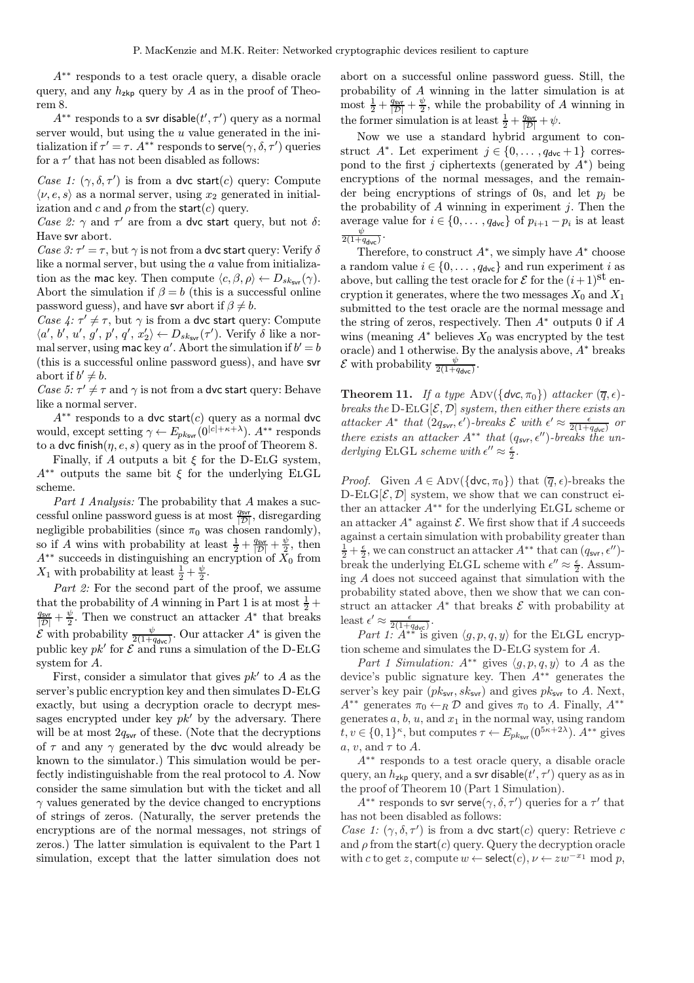A∗∗ responds to a test oracle query, a disable oracle query, and any  $h_{\mathsf{zkb}}$  query by A as in the proof of Theorem 8.

 $A^{**}$  responds to a svr disable $(t', \tau')$  query as a normal server would, but using the  $u$  value generated in the initialization if  $\tau' = \tau$ .  $A^{**}$  responds to serve $(\gamma, \delta, \tau')$  queries for a  $\tau'$  that has not been disabled as follows:

Case 1:  $(\gamma, \delta, \tau')$  is from a dvc start(c) query: Compute  $\langle \nu, e, s \rangle$  as a normal server, using  $x_2$  generated in initialization and c and  $\rho$  from the start(c) query.

Case 2:  $\gamma$  and  $\tau'$  are from a dvc start query, but not  $\delta$ : Have svr abort.

Case 3:  $\tau' = \tau$ , but  $\gamma$  is not from a dvc start query: Verify  $\delta$ like a normal server, but using the a value from initialization as the mac key. Then compute  $\langle c, \beta, \rho \rangle \leftarrow D_{skor}(\gamma)$ . Abort the simulation if  $\beta = b$  (this is a successful online password guess), and have svr abort if  $\beta \neq b$ .

*Case 4:*  $\tau' \neq \tau$ , but  $\gamma$  is from a dvc start query: Compute  $\langle a', b', u', g', p', q', x_2' \rangle \leftarrow D_{sk_{\mathsf{svr}}}(\tau')$ . Verify  $\delta$  like a normal server, using mac key  $a'$ . Abort the simulation if  $b' = b$ (this is a successful online password guess), and have svr abort if  $b' \neq b$ .

*Case 5:*  $\tau' \neq \tau$  and  $\gamma$  is not from a dvc start query: Behave like a normal server.

 $A^{**}$  responds to a dvc start(c) query as a normal dvc would, except setting  $\gamma \leftarrow E_{pk_{\text{svr}}}(\mathbf{0}^{|\vec{c}| + \kappa + \lambda})$ .  $A^{**}$  responds to a dvc finish $(\eta, e, s)$  query as in the proof of Theorem 8.

Finally, if A outputs a bit  $\xi$  for the D-ELG system,  $A^{**}$  outputs the same bit  $\xi$  for the underlying ELGL scheme.

Part 1 Analysis: The probability that A makes a successful online password guess is at most  $\frac{q_{\mathsf{svr}}}{|D|}$ , disregarding negligible probabilities (since  $\pi_0$  was chosen randomly), so if A wins with probability at least  $\frac{1}{2} + \frac{q_{\text{svr}}}{|D|} + \frac{\psi}{2}$ , then  $A^{**}$  succeeds in distinguishing an encryption of  $\bar{X}_0$  from  $X_1$  with probability at least  $\frac{1}{2} + \frac{\psi}{2}$ .

Part 2: For the second part of the proof, we assume that the probability of A winning in Part 1 is at most  $\frac{1}{2} + \frac{q_{\text{SV}}}{2} + \frac{\psi}{2}$ . Then we construct an attacker  $A^*$  that breaks  $\frac{q_{\text{svr}}}{|D|} + \frac{\psi}{2}$ . Then we construct an attacker  $A^*$  that breaks E with probability  $\frac{\psi}{2(1+q_{\text{dyc}})}$ . Our attacker  $A^*$  is given the public key  $pk'$  for  $\mathcal E$  and runs a simulation of the D-ELG system for A.

First, consider a simulator that gives  $pk'$  to A as the server's public encryption key and then simulates D-ElG exactly, but using a decryption oracle to decrypt messages encrypted under key  $pk'$  by the adversary. There will be at most  $2q_{\text{svr}}$  of these. (Note that the decryptions of  $\tau$  and any  $\gamma$  generated by the dvc would already be known to the simulator.) This simulation would be perfectly indistinguishable from the real protocol to A. Now consider the same simulation but with the ticket and all  $\gamma$  values generated by the device changed to encryptions of strings of zeros. (Naturally, the server pretends the encryptions are of the normal messages, not strings of zeros.) The latter simulation is equivalent to the Part 1 simulation, except that the latter simulation does not abort on a successful online password guess. Still, the probability of A winning in the latter simulation is at most  $\frac{1}{2} + \frac{q_{\text{svr}}}{|D|} + \frac{\psi}{2}$ , while the probability of A winning in the former simulation is at least  $\frac{1}{2} + \frac{q_{\text{svr}}}{|D|} + \psi$ .

Now we use a standard hybrid argument to construct  $A^*$ . Let experiment  $j \in \{0, \ldots, q_{\text{dvc}}+1\}$  correspond to the first j ciphertexts (generated by  $A^*$ ) being encryptions of the normal messages, and the remainder being encryptions of strings of 0s, and let  $p_i$  be the probability of  $A$  winning in experiment  $j$ . Then the average value for  $i \in \{0, \ldots, q_{\text{dvc}}\}$  of  $p_{i+1} - p_i$  is at least  $\frac{\psi}{2(1+q_{\mathsf{dvc}})}$ .

Therefore, to construct  $A^*$ , we simply have  $A^*$  choose a random value  $i \in \{0, \ldots\,, q_{\mathsf{dvc}}\}$  and run experiment  $i$  as above, but calling the test oracle for  $\mathcal E$  for the  $(i+1)$ <sup>st</sup> encryption it generates, where the two messages  $X_0$  and  $X_1$ submitted to the test oracle are the normal message and the string of zeros, respectively. Then  $A^*$  outputs 0 if A wins (meaning  $A^*$  believes  $X_0$  was encrypted by the test oracle) and 1 otherwise. By the analysis above,  $A^*$  breaks  $\mathcal E$  with probability  $\frac{\psi}{2(1+q_{\text{dvc}})}$ .

**Theorem 11.** If a type ADV( $\{dvc, \pi_0\}$ ) attacker  $(\overline{q}, \epsilon)$ breaks the D-ELG $[\mathcal{E}, \mathcal{D}]$  system, then either there exists an attacker  $A^*$  that  $(2q_{\mathsf{svr}}, \epsilon')$ -breaks  $\mathcal{E}$  with  $\epsilon' \approx \frac{\epsilon}{2(1+q_{\mathsf{gvc}})}$  or there exists an attacker  $A^{**}$  that  $(q_{\mathsf{svr}}, \epsilon'')$ -breaks the underlying ELGL scheme with  $\epsilon'' \approx \frac{\epsilon}{2}$ .

*Proof.* Given  $A \in \text{ADV}({\text{dvc}, \pi_0})$  that  $(\overline{q}, \epsilon)$ -breaks the  $D\text{-}ELG[\mathcal{E}, \mathcal{D}]$  system, we show that we can construct either an attacker A∗∗ for the underlying ElGL scheme or an attacker  $A^*$  against  $\mathcal E$ . We first show that if A succeeds against a certain simulation with probability greater than  $\frac{1}{2} + \frac{\epsilon}{2}$ , we can construct an attacker  $A^{**}$  that can  $(q_{\mathsf{svr}}, \epsilon'')$ break the underlying ELGL scheme with  $\epsilon'' \approx \frac{\epsilon}{2}$ . Assuming A does not succeed against that simulation with the probability stated above, then we show that we can construct an attacker  $A^*$  that breaks  $\mathcal E$  with probability at least  $\epsilon' \approx \frac{\epsilon}{2(1+q_{\text{dyc}})}$ .

Part 1:  $A^{**}$  is given  $\langle g, p, q, y \rangle$  for the ELGL encryption scheme and simulates the D-ElG system for A.

Part 1 Simulation:  $A^{**}$  gives  $\langle g, p, q, y \rangle$  to A as the device's public signature key. Then A∗∗ generates the server's key pair  $(pk_{\text{svr}}, sk_{\text{svr}})$  and gives  $pk_{\text{svr}}$  to A. Next,  $A^{**}$  generates  $\pi_0 \leftarrow_R \mathcal{D}$  and gives  $\pi_0$  to A. Finally,  $A^{**}$ generates  $a, b, u$ , and  $x_1$  in the normal way, using random  $t, v \in \{0, 1\}^{\kappa}$ , but computes  $\tau \leftarrow E_{pk_{\text{svr}}}(0^{5\kappa+2\lambda})$ .  $A^{**}$  gives  $a, v, \text{ and } \tau \text{ to } A.$ 

A∗∗ responds to a test oracle query, a disable oracle query, an  $h_{\mathsf{zkp}}$  query, and a svr disable $(t', \tau')$  query as as in the proof of Theorem 10 (Part 1 Simulation).

 $A^{**}$  responds to svr serve $(\gamma, \delta, \tau')$  queries for a  $\tau'$  that has not been disabled as follows:

*Case 1:*  $(\gamma, \delta, \tau')$  is from a dvc start(c) query: Retrieve c and  $\rho$  from the start(c) query. Query the decryption oracle with c to get z, compute  $w \leftarrow \text{select}(c), v \leftarrow zw^{-x_1} \text{ mod } p$ ,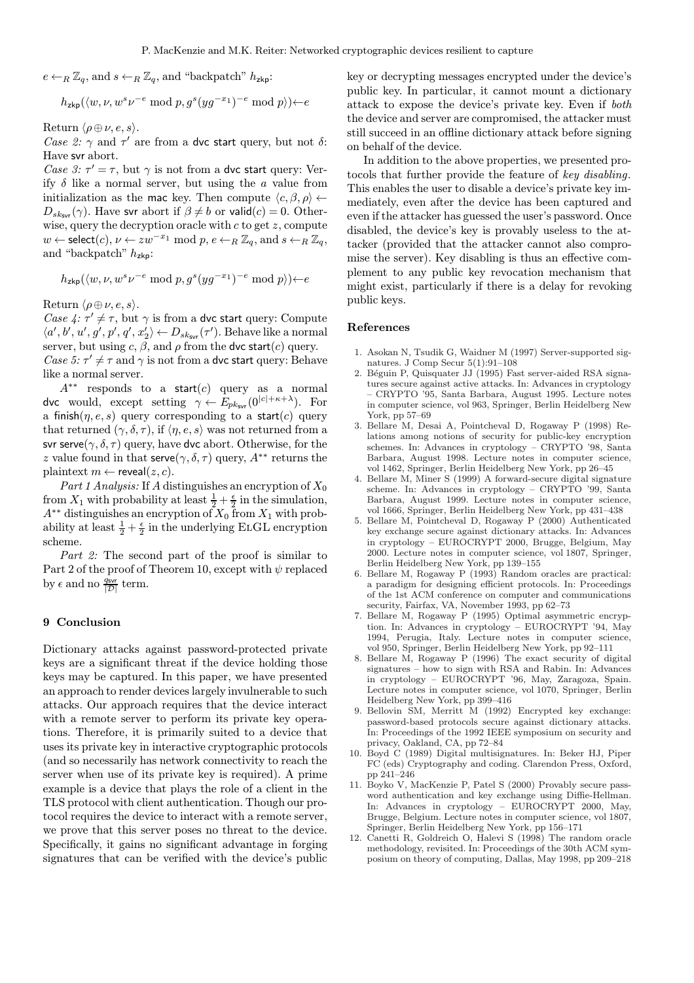$e \leftarrow_R \mathbb{Z}_q$ , and  $s \leftarrow_R \mathbb{Z}_q$ , and "backpatch"  $h_{\mathsf{zkp}}$ :

$$
h_{\mathsf{zkp}}(\langle w, \nu, w^s \nu^{-e} \bmod p, g^s (yg^{-x_1})^{-e} \bmod p \rangle) \leftarrow e
$$

Return  $\langle \rho \oplus \nu, e, s \rangle$ .

Case 2:  $\gamma$  and  $\tau'$  are from a dvc start query, but not  $\delta$ : Have svr abort.

Case 3:  $\tau' = \tau$ , but  $\gamma$  is not from a dvc start query: Verify  $\delta$  like a normal server, but using the a value from initialization as the mac key. Then compute  $\langle c, \beta, \rho \rangle \leftarrow$  $D_{skew}(\gamma)$ . Have svr abort if  $\beta \neq b$  or valid $(c) = 0$ . Otherwise, query the decryption oracle with  $c$  to get  $z$ , compute  $w \leftarrow \text{select}(c), v \leftarrow zw^{-x_1} \text{ mod } p, e \leftarrow_R \mathbb{Z}_q, \text{ and } s \leftarrow_R \mathbb{Z}_q,$ and "backpatch"  $h_{\mathsf{zkp}}$ :

$$
h_{\mathsf{zkp}}(\langle w, \nu, w^s \nu^{-e} \bmod p, g^s (yg^{-x_1})^{-e} \bmod p \rangle) \leftarrow e
$$

Return  $\langle \rho \oplus \nu, e, s \rangle$ .

Case  $4: \tau' \neq \tau$ , but  $\gamma$  is from a dvc start query: Compute  $\langle a', b', u', g', p', q', x_2' \rangle \leftarrow D_{sk_{\mathsf{svr}}}(\tau').$  Behave like a normal server, but using  $c, \beta$ , and  $\rho$  from the dvc start(c) query. *Case 5:*  $\tau' \neq \tau$  and  $\gamma$  is not from a dvc start query: Behave like a normal server.

 $A^{**}$  responds to a start(c) query as a normal dvc would, except setting  $\gamma \leftarrow E_{pk_{\textsf{svr}}}(0^{|c|+\kappa+\lambda})$ . For a finish $(\eta, e, s)$  query corresponding to a start $(c)$  query that returned  $(\gamma, \delta, \tau)$ , if  $\langle \eta, e, s \rangle$  was not returned from a svr serve $(\gamma, \delta, \tau)$  query, have dvc abort. Otherwise, for the z value found in that serve $(\gamma, \delta, \tau)$  query,  $A^{**}$  returns the plaintext  $m \leftarrow \text{reveal}(z, c)$ .

Part 1 Analysis: If A distinguishes an encryption of  $X_0$ from  $X_1$  with probability at least  $\frac{1}{2} + \frac{\epsilon}{2}$  in the simulation,  $A^{**}$  distinguishes an encryption of  $X_0$  from  $X_1$  with probability at least  $\frac{1}{2} + \frac{\epsilon}{2}$  in the underlying ELGL encryption scheme.

Part 2: The second part of the proof is similar to Part 2 of the proof of Theorem 10, except with  $\psi$  replaced by  $\epsilon$  and no  $\frac{q_{\text{svr}}}{|D|}$  term.

## 9 Conclusion

Dictionary attacks against password-protected private keys are a significant threat if the device holding those keys may be captured. In this paper, we have presented an approach to render devices largely invulnerable to such attacks. Our approach requires that the device interact with a remote server to perform its private key operations. Therefore, it is primarily suited to a device that uses its private key in interactive cryptographic protocols (and so necessarily has network connectivity to reach the server when use of its private key is required). A prime example is a device that plays the role of a client in the TLS protocol with client authentication. Though our protocol requires the device to interact with a remote server, we prove that this server poses no threat to the device. Specifically, it gains no significant advantage in forging signatures that can be verified with the device's public key or decrypting messages encrypted under the device's public key. In particular, it cannot mount a dictionary attack to expose the device's private key. Even if both the device and server are compromised, the attacker must still succeed in an offline dictionary attack before signing on behalf of the device.

In addition to the above properties, we presented protocols that further provide the feature of key disabling. This enables the user to disable a device's private key immediately, even after the device has been captured and even if the attacker has guessed the user's password. Once disabled, the device's key is provably useless to the attacker (provided that the attacker cannot also compromise the server). Key disabling is thus an effective complement to any public key revocation mechanism that might exist, particularly if there is a delay for revoking public keys.

#### References

- 1. Asokan N, Tsudik G, Waidner M (1997) Server-supported signatures. J Comp Secur 5(1):91–108
- 2. Béguin P, Quisquater JJ (1995) Fast server-aided RSA signatures secure against active attacks. In: Advances in cryptology – CRYPTO '95, Santa Barbara, August 1995. Lecture notes in computer science, vol 963, Springer, Berlin Heidelberg New York, pp 57–69
- 3. Bellare M, Desai A, Pointcheval D, Rogaway P (1998) Relations among notions of security for public-key encryption schemes. In: Advances in cryptology – CRYPTO '98, Santa Barbara, August 1998. Lecture notes in computer science, vol 1462, Springer, Berlin Heidelberg New York, pp 26–45
- 4. Bellare M, Miner S (1999) A forward-secure digital signature scheme. In: Advances in cryptology – CRYPTO '99, Santa Barbara, August 1999. Lecture notes in computer science, vol 1666, Springer, Berlin Heidelberg New York, pp 431–438
- 5. Bellare M, Pointcheval D, Rogaway P (2000) Authenticated key exchange secure against dictionary attacks. In: Advances in cryptology – EUROCRYPT 2000, Brugge, Belgium, May 2000. Lecture notes in computer science, vol 1807, Springer, Berlin Heidelberg New York, pp 139–155
- 6. Bellare M, Rogaway P (1993) Random oracles are practical: a paradigm for designing efficient protocols. In: Proceedings of the 1st ACM conference on computer and communications security, Fairfax, VA, November 1993, pp 62–73
- 7. Bellare M, Rogaway P (1995) Optimal asymmetric encryption. In: Advances in cryptology – EUROCRYPT '94, May 1994, Perugia, Italy. Lecture notes in computer science, vol 950, Springer, Berlin Heidelberg New York, pp 92–111
- 8. Bellare M, Rogaway P (1996) The exact security of digital signatures – how to sign with RSA and Rabin. In: Advances in cryptology – EUROCRYPT '96, May, Zaragoza, Spain. Lecture notes in computer science, vol 1070, Springer, Berlin Heidelberg New York, pp 399–416
- 9. Bellovin SM, Merritt M (1992) Encrypted key exchange: password-based protocols secure against dictionary attacks. In: Proceedings of the 1992 IEEE symposium on security and privacy, Oakland, CA, pp 72–84
- 10. Boyd C (1989) Digital multisignatures. In: Beker HJ, Piper FC (eds) Cryptography and coding. Clarendon Press, Oxford, pp 241–246
- 11. Boyko V, MacKenzie P, Patel S (2000) Provably secure password authentication and key exchange using Diffie-Hellman. In: Advances in cryptology – EUROCRYPT 2000, May, Brugge, Belgium. Lecture notes in computer science, vol 1807, Springer, Berlin Heidelberg New York, pp 156–171
- 12. Canetti R, Goldreich O, Halevi S (1998) The random oracle methodology, revisited. In: Proceedings of the 30th ACM symposium on theory of computing, Dallas, May 1998, pp 209–218